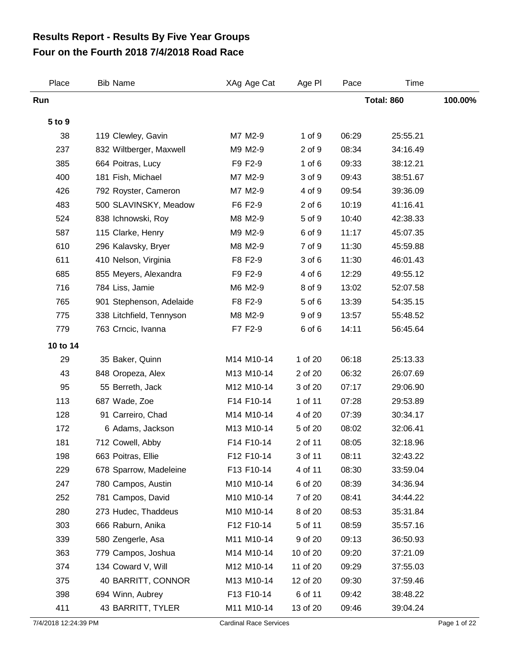## **Four on the Fourth 2018 7/4/2018 Road Race Results Report - Results By Five Year Groups**

| Place    | <b>Bib Name</b>          | XAg Age Cat | Age PI     | Pace  | Time              |         |
|----------|--------------------------|-------------|------------|-------|-------------------|---------|
| Run      |                          |             |            |       | <b>Total: 860</b> | 100.00% |
| 5 to 9   |                          |             |            |       |                   |         |
| 38       | 119 Clewley, Gavin       | M7 M2-9     | 1 of 9     | 06:29 | 25:55.21          |         |
| 237      | 832 Wiltberger, Maxwell  | M9 M2-9     | 2 of 9     | 08:34 | 34:16.49          |         |
| 385      | 664 Poitras, Lucy        | F9 F2-9     | 1 of $6$   | 09:33 | 38:12.21          |         |
| 400      | 181 Fish, Michael        | M7 M2-9     | 3 of 9     | 09:43 | 38:51.67          |         |
| 426      | 792 Royster, Cameron     | M7 M2-9     | 4 of 9     | 09:54 | 39:36.09          |         |
| 483      | 500 SLAVINSKY, Meadow    | F6 F2-9     | $2$ of $6$ | 10:19 | 41:16.41          |         |
| 524      | 838 Ichnowski, Roy       | M8 M2-9     | 5 of 9     | 10:40 | 42:38.33          |         |
| 587      | 115 Clarke, Henry        | M9 M2-9     | 6 of 9     | 11:17 | 45:07.35          |         |
| 610      | 296 Kalavsky, Bryer      | M8 M2-9     | 7 of 9     | 11:30 | 45:59.88          |         |
| 611      | 410 Nelson, Virginia     | F8 F2-9     | 3 of 6     | 11:30 | 46:01.43          |         |
| 685      | 855 Meyers, Alexandra    | F9 F2-9     | 4 of 6     | 12:29 | 49:55.12          |         |
| 716      | 784 Liss, Jamie          | M6 M2-9     | 8 of 9     | 13:02 | 52:07.58          |         |
| 765      | 901 Stephenson, Adelaide | F8 F2-9     | 5 of 6     | 13:39 | 54:35.15          |         |
| 775      | 338 Litchfield, Tennyson | M8 M2-9     | 9 of 9     | 13:57 | 55:48.52          |         |
| 779      | 763 Crncic, Ivanna       | F7 F2-9     | 6 of 6     | 14:11 | 56:45.64          |         |
| 10 to 14 |                          |             |            |       |                   |         |
| 29       | 35 Baker, Quinn          | M14 M10-14  | 1 of 20    | 06:18 | 25:13.33          |         |
| 43       | 848 Oropeza, Alex        | M13 M10-14  | 2 of 20    | 06:32 | 26:07.69          |         |
| 95       | 55 Berreth, Jack         | M12 M10-14  | 3 of 20    | 07:17 | 29:06.90          |         |
| 113      | 687 Wade, Zoe            | F14 F10-14  | 1 of 11    | 07:28 | 29:53.89          |         |
| 128      | 91 Carreiro, Chad        | M14 M10-14  | 4 of 20    | 07:39 | 30:34.17          |         |
| 172      | 6 Adams, Jackson         | M13 M10-14  | 5 of 20    | 08:02 | 32:06.41          |         |
| 181      | 712 Cowell, Abby         | F14 F10-14  | 2 of 11    | 08:05 | 32:18.96          |         |
| 198      | 663 Poitras, Ellie       | F12 F10-14  | 3 of 11    | 08:11 | 32:43.22          |         |
| 229      | 678 Sparrow, Madeleine   | F13 F10-14  | 4 of 11    | 08:30 | 33:59.04          |         |
| 247      | 780 Campos, Austin       | M10 M10-14  | 6 of 20    | 08:39 | 34:36.94          |         |
| 252      | 781 Campos, David        | M10 M10-14  | 7 of 20    | 08:41 | 34:44.22          |         |
| 280      | 273 Hudec, Thaddeus      | M10 M10-14  | 8 of 20    | 08:53 | 35:31.84          |         |
| 303      | 666 Raburn, Anika        | F12 F10-14  | 5 of 11    | 08:59 | 35:57.16          |         |
| 339      | 580 Zengerle, Asa        | M11 M10-14  | 9 of 20    | 09:13 | 36:50.93          |         |
| 363      | 779 Campos, Joshua       | M14 M10-14  | 10 of 20   | 09:20 | 37:21.09          |         |
| 374      | 134 Coward V, Will       | M12 M10-14  | 11 of 20   | 09:29 | 37:55.03          |         |
| 375      | 40 BARRITT, CONNOR       | M13 M10-14  | 12 of 20   | 09:30 | 37:59.46          |         |
| 398      | 694 Winn, Aubrey         | F13 F10-14  | 6 of 11    | 09:42 | 38:48.22          |         |
| 411      | 43 BARRITT, TYLER        | M11 M10-14  | 13 of 20   | 09:46 | 39:04.24          |         |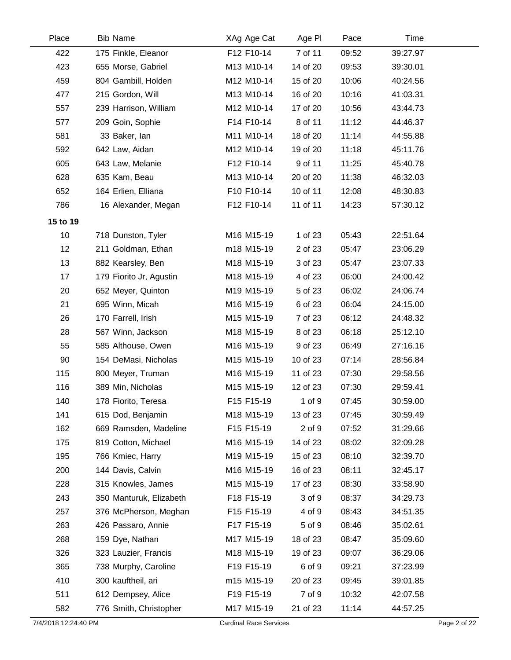| Place    | <b>Bib Name</b>         | XAg Age Cat | Age PI   | Pace  | Time     |  |
|----------|-------------------------|-------------|----------|-------|----------|--|
| 422      | 175 Finkle, Eleanor     | F12 F10-14  | 7 of 11  | 09:52 | 39:27.97 |  |
| 423      | 655 Morse, Gabriel      | M13 M10-14  | 14 of 20 | 09:53 | 39:30.01 |  |
| 459      | 804 Gambill, Holden     | M12 M10-14  | 15 of 20 | 10:06 | 40:24.56 |  |
| 477      | 215 Gordon, Will        | M13 M10-14  | 16 of 20 | 10:16 | 41:03.31 |  |
| 557      | 239 Harrison, William   | M12 M10-14  | 17 of 20 | 10:56 | 43:44.73 |  |
| 577      | 209 Goin, Sophie        | F14 F10-14  | 8 of 11  | 11:12 | 44:46.37 |  |
| 581      | 33 Baker, lan           | M11 M10-14  | 18 of 20 | 11:14 | 44:55.88 |  |
| 592      | 642 Law, Aidan          | M12 M10-14  | 19 of 20 | 11:18 | 45:11.76 |  |
| 605      | 643 Law, Melanie        | F12 F10-14  | 9 of 11  | 11:25 | 45:40.78 |  |
| 628      | 635 Kam, Beau           | M13 M10-14  | 20 of 20 | 11:38 | 46:32.03 |  |
| 652      | 164 Erlien, Elliana     | F10 F10-14  | 10 of 11 | 12:08 | 48:30.83 |  |
| 786      | 16 Alexander, Megan     | F12 F10-14  | 11 of 11 | 14:23 | 57:30.12 |  |
| 15 to 19 |                         |             |          |       |          |  |
| 10       | 718 Dunston, Tyler      | M16 M15-19  | 1 of 23  | 05:43 | 22:51.64 |  |
| 12       | 211 Goldman, Ethan      | m18 M15-19  | 2 of 23  | 05:47 | 23:06.29 |  |
| 13       | 882 Kearsley, Ben       | M18 M15-19  | 3 of 23  | 05:47 | 23:07.33 |  |
| 17       | 179 Fiorito Jr, Agustin | M18 M15-19  | 4 of 23  | 06:00 | 24:00.42 |  |
| 20       | 652 Meyer, Quinton      | M19 M15-19  | 5 of 23  | 06:02 | 24:06.74 |  |
| 21       | 695 Winn, Micah         | M16 M15-19  | 6 of 23  | 06:04 | 24:15.00 |  |
| 26       | 170 Farrell, Irish      | M15 M15-19  | 7 of 23  | 06:12 | 24:48.32 |  |
| 28       | 567 Winn, Jackson       | M18 M15-19  | 8 of 23  | 06:18 | 25:12.10 |  |
| 55       | 585 Althouse, Owen      | M16 M15-19  | 9 of 23  | 06:49 | 27:16.16 |  |
| 90       | 154 DeMasi, Nicholas    | M15 M15-19  | 10 of 23 | 07:14 | 28:56.84 |  |
| 115      | 800 Meyer, Truman       | M16 M15-19  | 11 of 23 | 07:30 | 29:58.56 |  |
| 116      | 389 Min, Nicholas       | M15 M15-19  | 12 of 23 | 07:30 | 29:59.41 |  |
| 140      | 178 Fiorito, Teresa     | F15 F15-19  | 1 of 9   | 07:45 | 30:59.00 |  |
| 141      | 615 Dod, Benjamin       | M18 M15-19  | 13 of 23 | 07:45 | 30:59.49 |  |
| 162      | 669 Ramsden, Madeline   | F15 F15-19  | 2 of 9   | 07:52 | 31:29.66 |  |
| 175      | 819 Cotton, Michael     | M16 M15-19  | 14 of 23 | 08:02 | 32:09.28 |  |
| 195      | 766 Kmiec, Harry        | M19 M15-19  | 15 of 23 | 08:10 | 32:39.70 |  |
| 200      | 144 Davis, Calvin       | M16 M15-19  | 16 of 23 | 08:11 | 32:45.17 |  |
| 228      | 315 Knowles, James      | M15 M15-19  | 17 of 23 | 08:30 | 33:58.90 |  |
| 243      | 350 Manturuk, Elizabeth | F18 F15-19  | 3 of 9   | 08:37 | 34:29.73 |  |
| 257      | 376 McPherson, Meghan   | F15 F15-19  | 4 of 9   | 08:43 | 34:51.35 |  |
| 263      | 426 Passaro, Annie      | F17 F15-19  | 5 of 9   | 08:46 | 35:02.61 |  |
| 268      | 159 Dye, Nathan         | M17 M15-19  | 18 of 23 | 08:47 | 35:09.60 |  |
| 326      | 323 Lauzier, Francis    | M18 M15-19  | 19 of 23 | 09:07 | 36:29.06 |  |
| 365      | 738 Murphy, Caroline    | F19 F15-19  | 6 of 9   | 09:21 | 37:23.99 |  |
| 410      | 300 kauftheil, ari      | m15 M15-19  | 20 of 23 | 09:45 | 39:01.85 |  |
| 511      | 612 Dempsey, Alice      | F19 F15-19  | 7 of 9   | 10:32 | 42:07.58 |  |
| 582      | 776 Smith, Christopher  | M17 M15-19  | 21 of 23 | 11:14 | 44:57.25 |  |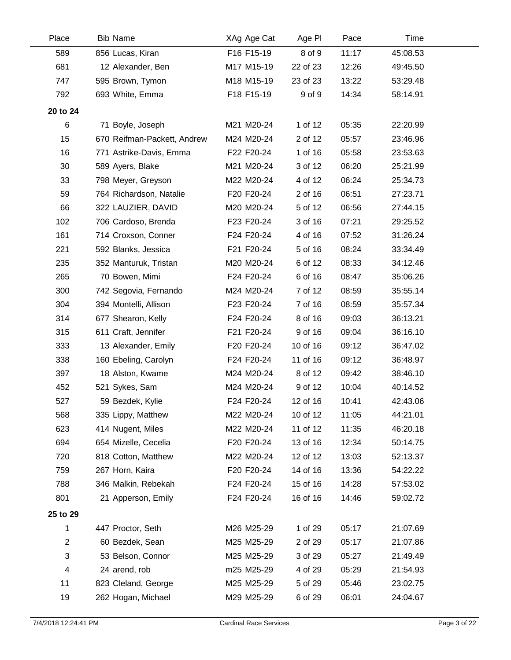| Place          | <b>Bib Name</b>             | XAg Age Cat | Age PI   | Pace  | Time     |  |
|----------------|-----------------------------|-------------|----------|-------|----------|--|
| 589            | 856 Lucas, Kiran            | F16 F15-19  | 8 of 9   | 11:17 | 45:08.53 |  |
| 681            | 12 Alexander, Ben           | M17 M15-19  | 22 of 23 | 12:26 | 49:45.50 |  |
| 747            | 595 Brown, Tymon            | M18 M15-19  | 23 of 23 | 13:22 | 53:29.48 |  |
| 792            | 693 White, Emma             | F18 F15-19  | 9 of 9   | 14:34 | 58:14.91 |  |
| 20 to 24       |                             |             |          |       |          |  |
| 6              | 71 Boyle, Joseph            | M21 M20-24  | 1 of 12  | 05:35 | 22:20.99 |  |
| 15             | 670 Reifman-Packett, Andrew | M24 M20-24  | 2 of 12  | 05:57 | 23:46.96 |  |
| 16             | 771 Astrike-Davis, Emma     | F22 F20-24  | 1 of 16  | 05:58 | 23:53.63 |  |
| 30             | 589 Ayers, Blake            | M21 M20-24  | 3 of 12  | 06:20 | 25:21.99 |  |
| 33             | 798 Meyer, Greyson          | M22 M20-24  | 4 of 12  | 06:24 | 25:34.73 |  |
| 59             | 764 Richardson, Natalie     | F20 F20-24  | 2 of 16  | 06:51 | 27:23.71 |  |
| 66             | 322 LAUZIER, DAVID          | M20 M20-24  | 5 of 12  | 06:56 | 27:44.15 |  |
| 102            | 706 Cardoso, Brenda         | F23 F20-24  | 3 of 16  | 07:21 | 29:25.52 |  |
| 161            | 714 Croxson, Conner         | F24 F20-24  | 4 of 16  | 07:52 | 31:26.24 |  |
| 221            | 592 Blanks, Jessica         | F21 F20-24  | 5 of 16  | 08:24 | 33:34.49 |  |
| 235            | 352 Manturuk, Tristan       | M20 M20-24  | 6 of 12  | 08:33 | 34:12.46 |  |
| 265            | 70 Bowen, Mimi              | F24 F20-24  | 6 of 16  | 08:47 | 35:06.26 |  |
| 300            | 742 Segovia, Fernando       | M24 M20-24  | 7 of 12  | 08:59 | 35:55.14 |  |
| 304            | 394 Montelli, Allison       | F23 F20-24  | 7 of 16  | 08:59 | 35:57.34 |  |
| 314            | 677 Shearon, Kelly          | F24 F20-24  | 8 of 16  | 09:03 | 36:13.21 |  |
| 315            | 611 Craft, Jennifer         | F21 F20-24  | 9 of 16  | 09:04 | 36:16.10 |  |
| 333            | 13 Alexander, Emily         | F20 F20-24  | 10 of 16 | 09:12 | 36:47.02 |  |
| 338            | 160 Ebeling, Carolyn        | F24 F20-24  | 11 of 16 | 09:12 | 36:48.97 |  |
| 397            | 18 Alston, Kwame            | M24 M20-24  | 8 of 12  | 09:42 | 38:46.10 |  |
| 452            | 521 Sykes, Sam              | M24 M20-24  | 9 of 12  | 10:04 | 40:14.52 |  |
| 527            | 59 Bezdek, Kylie            | F24 F20-24  | 12 of 16 | 10:41 | 42:43.06 |  |
| 568            | 335 Lippy, Matthew          | M22 M20-24  | 10 of 12 | 11:05 | 44:21.01 |  |
| 623            | 414 Nugent, Miles           | M22 M20-24  | 11 of 12 | 11:35 | 46:20.18 |  |
| 694            | 654 Mizelle, Cecelia        | F20 F20-24  | 13 of 16 | 12:34 | 50:14.75 |  |
| 720            | 818 Cotton, Matthew         | M22 M20-24  | 12 of 12 | 13:03 | 52:13.37 |  |
| 759            | 267 Horn, Kaira             | F20 F20-24  | 14 of 16 | 13:36 | 54:22.22 |  |
| 788            | 346 Malkin, Rebekah         | F24 F20-24  | 15 of 16 | 14:28 | 57:53.02 |  |
| 801            | 21 Apperson, Emily          | F24 F20-24  | 16 of 16 | 14:46 | 59:02.72 |  |
| 25 to 29       |                             |             |          |       |          |  |
| 1              | 447 Proctor, Seth           | M26 M25-29  | 1 of 29  | 05:17 | 21:07.69 |  |
| $\overline{c}$ | 60 Bezdek, Sean             | M25 M25-29  | 2 of 29  | 05:17 | 21:07.86 |  |
| 3              | 53 Belson, Connor           | M25 M25-29  | 3 of 29  | 05:27 | 21:49.49 |  |
| 4              | 24 arend, rob               | m25 M25-29  | 4 of 29  | 05:29 | 21:54.93 |  |
| 11             | 823 Cleland, George         | M25 M25-29  | 5 of 29  | 05:46 | 23:02.75 |  |
| 19             | 262 Hogan, Michael          | M29 M25-29  | 6 of 29  | 06:01 | 24:04.67 |  |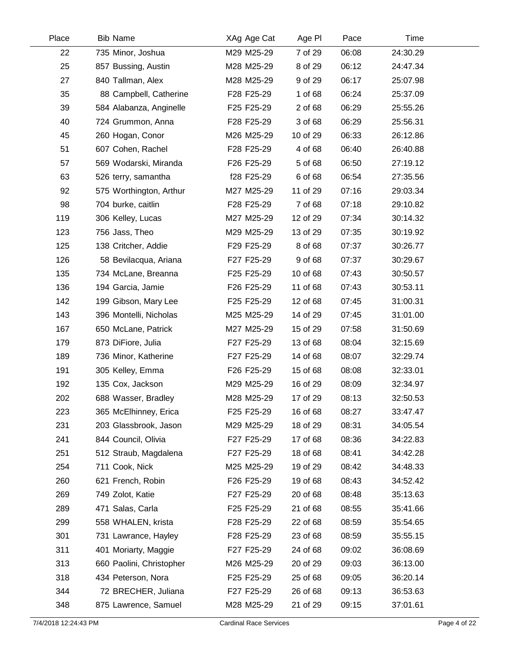| Place | <b>Bib Name</b>          | XAg Age Cat | Age PI   | Pace  | Time     |  |
|-------|--------------------------|-------------|----------|-------|----------|--|
| 22    | 735 Minor, Joshua        | M29 M25-29  | 7 of 29  | 06:08 | 24:30.29 |  |
| 25    | 857 Bussing, Austin      | M28 M25-29  | 8 of 29  | 06:12 | 24:47.34 |  |
| 27    | 840 Tallman, Alex        | M28 M25-29  | 9 of 29  | 06:17 | 25:07.98 |  |
| 35    | 88 Campbell, Catherine   | F28 F25-29  | 1 of 68  | 06:24 | 25:37.09 |  |
| 39    | 584 Alabanza, Anginelle  | F25 F25-29  | 2 of 68  | 06:29 | 25:55.26 |  |
| 40    | 724 Grummon, Anna        | F28 F25-29  | 3 of 68  | 06:29 | 25:56.31 |  |
| 45    | 260 Hogan, Conor         | M26 M25-29  | 10 of 29 | 06:33 | 26:12.86 |  |
| 51    | 607 Cohen, Rachel        | F28 F25-29  | 4 of 68  | 06:40 | 26:40.88 |  |
| 57    | 569 Wodarski, Miranda    | F26 F25-29  | 5 of 68  | 06:50 | 27:19.12 |  |
| 63    | 526 terry, samantha      | f28 F25-29  | 6 of 68  | 06:54 | 27:35.56 |  |
| 92    | 575 Worthington, Arthur  | M27 M25-29  | 11 of 29 | 07:16 | 29:03.34 |  |
| 98    | 704 burke, caitlin       | F28 F25-29  | 7 of 68  | 07:18 | 29:10.82 |  |
| 119   | 306 Kelley, Lucas        | M27 M25-29  | 12 of 29 | 07:34 | 30:14.32 |  |
| 123   | 756 Jass, Theo           | M29 M25-29  | 13 of 29 | 07:35 | 30:19.92 |  |
| 125   | 138 Critcher, Addie      | F29 F25-29  | 8 of 68  | 07:37 | 30:26.77 |  |
| 126   | 58 Bevilacqua, Ariana    | F27 F25-29  | 9 of 68  | 07:37 | 30:29.67 |  |
| 135   | 734 McLane, Breanna      | F25 F25-29  | 10 of 68 | 07:43 | 30:50.57 |  |
| 136   | 194 Garcia, Jamie        | F26 F25-29  | 11 of 68 | 07:43 | 30:53.11 |  |
| 142   | 199 Gibson, Mary Lee     | F25 F25-29  | 12 of 68 | 07:45 | 31:00.31 |  |
| 143   | 396 Montelli, Nicholas   | M25 M25-29  | 14 of 29 | 07:45 | 31:01.00 |  |
| 167   | 650 McLane, Patrick      | M27 M25-29  | 15 of 29 | 07:58 | 31:50.69 |  |
| 179   | 873 DiFiore, Julia       | F27 F25-29  | 13 of 68 | 08:04 | 32:15.69 |  |
| 189   | 736 Minor, Katherine     | F27 F25-29  | 14 of 68 | 08:07 | 32:29.74 |  |
| 191   | 305 Kelley, Emma         | F26 F25-29  | 15 of 68 | 08:08 | 32:33.01 |  |
| 192   | 135 Cox, Jackson         | M29 M25-29  | 16 of 29 | 08:09 | 32:34.97 |  |
| 202   | 688 Wasser, Bradley      | M28 M25-29  | 17 of 29 | 08:13 | 32:50.53 |  |
| 223   | 365 McElhinney, Erica    | F25 F25-29  | 16 of 68 | 08:27 | 33:47.47 |  |
| 231   | 203 Glassbrook, Jason    | M29 M25-29  | 18 of 29 | 08:31 | 34:05.54 |  |
| 241   | 844 Council, Olivia      | F27 F25-29  | 17 of 68 | 08:36 | 34:22.83 |  |
| 251   | 512 Straub, Magdalena    | F27 F25-29  | 18 of 68 | 08:41 | 34:42.28 |  |
| 254   | 711 Cook, Nick           | M25 M25-29  | 19 of 29 | 08:42 | 34:48.33 |  |
| 260   | 621 French, Robin        | F26 F25-29  | 19 of 68 | 08:43 | 34:52.42 |  |
| 269   | 749 Zolot, Katie         | F27 F25-29  | 20 of 68 | 08:48 | 35:13.63 |  |
| 289   | 471 Salas, Carla         | F25 F25-29  | 21 of 68 | 08:55 | 35:41.66 |  |
| 299   | 558 WHALEN, krista       | F28 F25-29  | 22 of 68 | 08:59 | 35:54.65 |  |
| 301   | 731 Lawrance, Hayley     | F28 F25-29  | 23 of 68 | 08:59 | 35:55.15 |  |
| 311   | 401 Moriarty, Maggie     | F27 F25-29  | 24 of 68 | 09:02 | 36:08.69 |  |
| 313   | 660 Paolini, Christopher | M26 M25-29  | 20 of 29 | 09:03 | 36:13.00 |  |
| 318   | 434 Peterson, Nora       | F25 F25-29  | 25 of 68 | 09:05 | 36:20.14 |  |
| 344   | 72 BRECHER, Juliana      | F27 F25-29  | 26 of 68 | 09:13 | 36:53.63 |  |
| 348   | 875 Lawrence, Samuel     | M28 M25-29  | 21 of 29 | 09:15 | 37:01.61 |  |
|       |                          |             |          |       |          |  |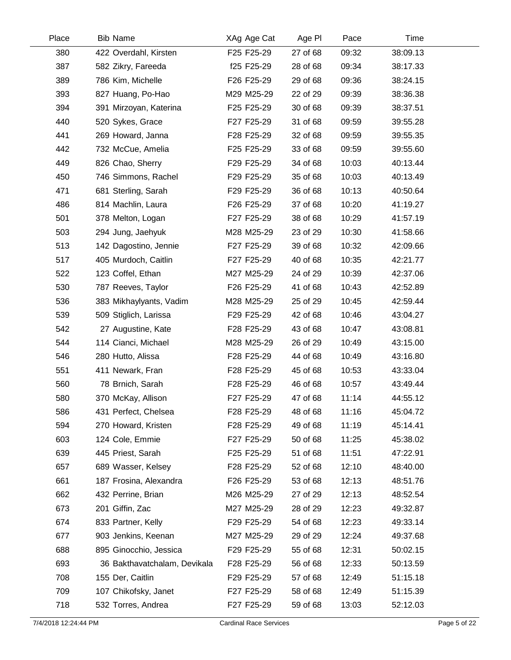| <b>Bib Name</b>              | XAg Age Cat | Age PI   | Pace  | Time     |  |
|------------------------------|-------------|----------|-------|----------|--|
| 422 Overdahl, Kirsten        | F25 F25-29  | 27 of 68 | 09:32 | 38:09.13 |  |
| 582 Zikry, Fareeda           | f25 F25-29  | 28 of 68 | 09:34 | 38:17.33 |  |
| 786 Kim, Michelle            | F26 F25-29  | 29 of 68 | 09:36 | 38:24.15 |  |
| 827 Huang, Po-Hao            | M29 M25-29  | 22 of 29 | 09:39 | 38:36.38 |  |
| 391 Mirzoyan, Katerina       | F25 F25-29  | 30 of 68 | 09:39 | 38:37.51 |  |
| 520 Sykes, Grace             | F27 F25-29  | 31 of 68 | 09:59 | 39:55.28 |  |
| 269 Howard, Janna            | F28 F25-29  | 32 of 68 | 09:59 | 39:55.35 |  |
| 732 McCue, Amelia            | F25 F25-29  | 33 of 68 | 09:59 | 39:55.60 |  |
| 826 Chao, Sherry             | F29 F25-29  | 34 of 68 | 10:03 | 40:13.44 |  |
| 746 Simmons, Rachel          | F29 F25-29  | 35 of 68 | 10:03 | 40:13.49 |  |
| 681 Sterling, Sarah          | F29 F25-29  | 36 of 68 | 10:13 | 40:50.64 |  |
| 814 Machlin, Laura           | F26 F25-29  | 37 of 68 | 10:20 | 41:19.27 |  |
| 378 Melton, Logan            | F27 F25-29  | 38 of 68 | 10:29 | 41:57.19 |  |
| 294 Jung, Jaehyuk            | M28 M25-29  | 23 of 29 | 10:30 | 41:58.66 |  |
| 142 Dagostino, Jennie        | F27 F25-29  | 39 of 68 | 10:32 | 42:09.66 |  |
| 405 Murdoch, Caitlin         | F27 F25-29  | 40 of 68 | 10:35 | 42:21.77 |  |
| 123 Coffel, Ethan            | M27 M25-29  | 24 of 29 | 10:39 | 42:37.06 |  |
| 787 Reeves, Taylor           | F26 F25-29  | 41 of 68 | 10:43 | 42:52.89 |  |
| 383 Mikhaylyants, Vadim      | M28 M25-29  | 25 of 29 | 10:45 | 42:59.44 |  |
| 509 Stiglich, Larissa        | F29 F25-29  | 42 of 68 | 10:46 | 43:04.27 |  |
| 27 Augustine, Kate           | F28 F25-29  | 43 of 68 | 10:47 | 43:08.81 |  |
| 114 Cianci, Michael          | M28 M25-29  | 26 of 29 | 10:49 | 43:15.00 |  |
| 280 Hutto, Alissa            | F28 F25-29  | 44 of 68 | 10:49 | 43:16.80 |  |
| 411 Newark, Fran             | F28 F25-29  | 45 of 68 | 10:53 | 43:33.04 |  |
| 78 Brnich, Sarah             | F28 F25-29  | 46 of 68 | 10:57 | 43:49.44 |  |
| 370 McKay, Allison           | F27 F25-29  | 47 of 68 | 11:14 | 44:55.12 |  |
| 431 Perfect, Chelsea         | F28 F25-29  | 48 of 68 | 11:16 | 45:04.72 |  |
| 270 Howard, Kristen          | F28 F25-29  | 49 of 68 | 11:19 | 45:14.41 |  |
| 124 Cole, Emmie              | F27 F25-29  | 50 of 68 | 11:25 | 45:38.02 |  |
| 445 Priest, Sarah            | F25 F25-29  | 51 of 68 | 11:51 | 47:22.91 |  |
| 689 Wasser, Kelsey           | F28 F25-29  | 52 of 68 | 12:10 | 48:40.00 |  |
| 187 Frosina, Alexandra       | F26 F25-29  | 53 of 68 | 12:13 | 48:51.76 |  |
| 432 Perrine, Brian           | M26 M25-29  | 27 of 29 | 12:13 | 48:52.54 |  |
| 201 Giffin, Zac              | M27 M25-29  | 28 of 29 | 12:23 | 49:32.87 |  |
| 833 Partner, Kelly           | F29 F25-29  | 54 of 68 | 12:23 | 49:33.14 |  |
| 903 Jenkins, Keenan          | M27 M25-29  | 29 of 29 | 12:24 | 49:37.68 |  |
| 895 Ginocchio, Jessica       | F29 F25-29  | 55 of 68 | 12:31 | 50:02.15 |  |
| 36 Bakthavatchalam, Devikala | F28 F25-29  | 56 of 68 | 12:33 | 50:13.59 |  |
| 155 Der, Caitlin             | F29 F25-29  | 57 of 68 | 12:49 | 51:15.18 |  |
| 107 Chikofsky, Janet         | F27 F25-29  | 58 of 68 | 12:49 | 51:15.39 |  |
| 532 Torres, Andrea           | F27 F25-29  | 59 of 68 | 13:03 | 52:12.03 |  |
|                              |             |          |       |          |  |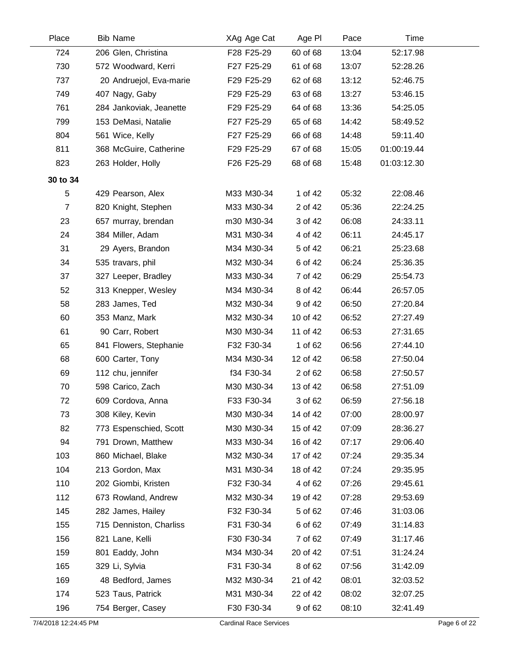| Place          | <b>Bib Name</b>         | XAg Age Cat | Age PI   | Pace  | Time        |  |
|----------------|-------------------------|-------------|----------|-------|-------------|--|
| 724            | 206 Glen, Christina     | F28 F25-29  | 60 of 68 | 13:04 | 52:17.98    |  |
| 730            | 572 Woodward, Kerri     | F27 F25-29  | 61 of 68 | 13:07 | 52:28.26    |  |
| 737            | 20 Andruejol, Eva-marie | F29 F25-29  | 62 of 68 | 13:12 | 52:46.75    |  |
| 749            | 407 Nagy, Gaby          | F29 F25-29  | 63 of 68 | 13:27 | 53:46.15    |  |
| 761            | 284 Jankoviak, Jeanette | F29 F25-29  | 64 of 68 | 13:36 | 54:25.05    |  |
| 799            | 153 DeMasi, Natalie     | F27 F25-29  | 65 of 68 | 14:42 | 58:49.52    |  |
| 804            | 561 Wice, Kelly         | F27 F25-29  | 66 of 68 | 14:48 | 59:11.40    |  |
| 811            | 368 McGuire, Catherine  | F29 F25-29  | 67 of 68 | 15:05 | 01:00:19.44 |  |
| 823            | 263 Holder, Holly       | F26 F25-29  | 68 of 68 | 15:48 | 01:03:12.30 |  |
| 30 to 34       |                         |             |          |       |             |  |
| 5              | 429 Pearson, Alex       | M33 M30-34  | 1 of 42  | 05:32 | 22:08.46    |  |
| $\overline{7}$ | 820 Knight, Stephen     | M33 M30-34  | 2 of 42  | 05:36 | 22:24.25    |  |
| 23             | 657 murray, brendan     | m30 M30-34  | 3 of 42  | 06:08 | 24:33.11    |  |
| 24             | 384 Miller, Adam        | M31 M30-34  | 4 of 42  | 06:11 | 24:45.17    |  |
| 31             | 29 Ayers, Brandon       | M34 M30-34  | 5 of 42  | 06:21 | 25:23.68    |  |
| 34             | 535 travars, phil       | M32 M30-34  | 6 of 42  | 06:24 | 25:36.35    |  |
| 37             | 327 Leeper, Bradley     | M33 M30-34  | 7 of 42  | 06:29 | 25:54.73    |  |
| 52             | 313 Knepper, Wesley     | M34 M30-34  | 8 of 42  | 06:44 | 26:57.05    |  |
| 58             | 283 James, Ted          | M32 M30-34  | 9 of 42  | 06:50 | 27:20.84    |  |
| 60             | 353 Manz, Mark          | M32 M30-34  | 10 of 42 | 06:52 | 27:27.49    |  |
| 61             | 90 Carr, Robert         | M30 M30-34  | 11 of 42 | 06:53 | 27:31.65    |  |
| 65             | 841 Flowers, Stephanie  | F32 F30-34  | 1 of 62  | 06:56 | 27:44.10    |  |
| 68             | 600 Carter, Tony        | M34 M30-34  | 12 of 42 | 06:58 | 27:50.04    |  |
| 69             | 112 chu, jennifer       | f34 F30-34  | 2 of 62  | 06:58 | 27:50.57    |  |
| 70             | 598 Carico, Zach        | M30 M30-34  | 13 of 42 | 06:58 | 27:51.09    |  |
| 72             | 609 Cordova, Anna       | F33 F30-34  | 3 of 62  | 06:59 | 27:56.18    |  |
| 73             | 308 Kiley, Kevin        | M30 M30-34  | 14 of 42 | 07:00 | 28:00.97    |  |
| 82             | 773 Espenschied, Scott  | M30 M30-34  | 15 of 42 | 07:09 | 28:36.27    |  |
| 94             | 791 Drown, Matthew      | M33 M30-34  | 16 of 42 | 07:17 | 29:06.40    |  |
| 103            | 860 Michael, Blake      | M32 M30-34  | 17 of 42 | 07:24 | 29:35.34    |  |
| 104            | 213 Gordon, Max         | M31 M30-34  | 18 of 42 | 07:24 | 29:35.95    |  |
| 110            | 202 Giombi, Kristen     | F32 F30-34  | 4 of 62  | 07:26 | 29:45.61    |  |
| 112            | 673 Rowland, Andrew     | M32 M30-34  | 19 of 42 | 07:28 | 29:53.69    |  |
| 145            | 282 James, Hailey       | F32 F30-34  | 5 of 62  | 07:46 | 31:03.06    |  |
| 155            | 715 Denniston, Charliss | F31 F30-34  | 6 of 62  | 07:49 | 31:14.83    |  |
| 156            | 821 Lane, Kelli         | F30 F30-34  | 7 of 62  | 07:49 | 31:17.46    |  |
| 159            | 801 Eaddy, John         | M34 M30-34  | 20 of 42 | 07:51 | 31:24.24    |  |
| 165            | 329 Li, Sylvia          | F31 F30-34  | 8 of 62  | 07:56 | 31:42.09    |  |
| 169            | 48 Bedford, James       | M32 M30-34  | 21 of 42 | 08:01 | 32:03.52    |  |
| 174            | 523 Taus, Patrick       | M31 M30-34  | 22 of 42 | 08:02 | 32:07.25    |  |
| 196            | 754 Berger, Casey       | F30 F30-34  | 9 of 62  | 08:10 | 32:41.49    |  |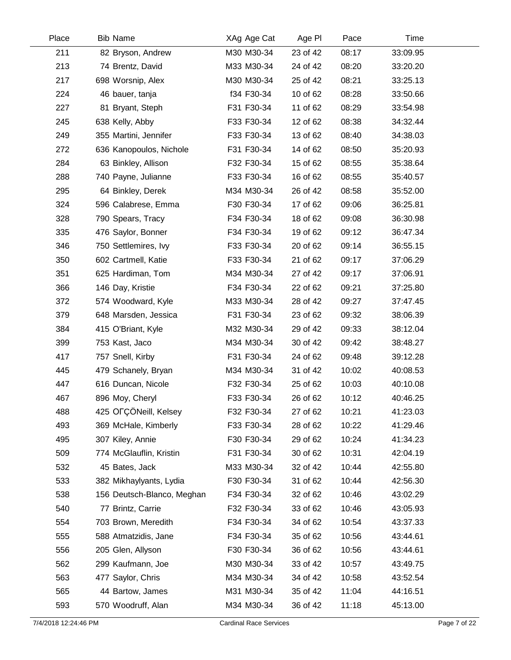| Place | <b>Bib Name</b>            | XAg Age Cat | Age PI   | Pace  | Time     |  |
|-------|----------------------------|-------------|----------|-------|----------|--|
| 211   | 82 Bryson, Andrew          | M30 M30-34  | 23 of 42 | 08:17 | 33:09.95 |  |
| 213   | 74 Brentz, David           | M33 M30-34  | 24 of 42 | 08:20 | 33:20.20 |  |
| 217   | 698 Worsnip, Alex          | M30 M30-34  | 25 of 42 | 08:21 | 33:25.13 |  |
| 224   | 46 bauer, tanja            | f34 F30-34  | 10 of 62 | 08:28 | 33:50.66 |  |
| 227   | 81 Bryant, Steph           | F31 F30-34  | 11 of 62 | 08:29 | 33:54.98 |  |
| 245   | 638 Kelly, Abby            | F33 F30-34  | 12 of 62 | 08:38 | 34:32.44 |  |
| 249   | 355 Martini, Jennifer      | F33 F30-34  | 13 of 62 | 08:40 | 34:38.03 |  |
| 272   | 636 Kanopoulos, Nichole    | F31 F30-34  | 14 of 62 | 08:50 | 35:20.93 |  |
| 284   | 63 Binkley, Allison        | F32 F30-34  | 15 of 62 | 08:55 | 35:38.64 |  |
| 288   | 740 Payne, Julianne        | F33 F30-34  | 16 of 62 | 08:55 | 35:40.57 |  |
| 295   | 64 Binkley, Derek          | M34 M30-34  | 26 of 42 | 08:58 | 35:52.00 |  |
| 324   | 596 Calabrese, Emma        | F30 F30-34  | 17 of 62 | 09:06 | 36:25.81 |  |
| 328   | 790 Spears, Tracy          | F34 F30-34  | 18 of 62 | 09:08 | 36:30.98 |  |
| 335   | 476 Saylor, Bonner         | F34 F30-34  | 19 of 62 | 09:12 | 36:47.34 |  |
| 346   | 750 Settlemires, Ivy       | F33 F30-34  | 20 of 62 | 09:14 | 36:55.15 |  |
| 350   | 602 Cartmell, Katie        | F33 F30-34  | 21 of 62 | 09:17 | 37:06.29 |  |
| 351   | 625 Hardiman, Tom          | M34 M30-34  | 27 of 42 | 09:17 | 37:06.91 |  |
| 366   | 146 Day, Kristie           | F34 F30-34  | 22 of 62 | 09:21 | 37:25.80 |  |
| 372   | 574 Woodward, Kyle         | M33 M30-34  | 28 of 42 | 09:27 | 37:47.45 |  |
| 379   | 648 Marsden, Jessica       | F31 F30-34  | 23 of 62 | 09:32 | 38:06.39 |  |
| 384   | 415 O'Briant, Kyle         | M32 M30-34  | 29 of 42 | 09:33 | 38:12.04 |  |
| 399   | 753 Kast, Jaco             | M34 M30-34  | 30 of 42 | 09:42 | 38:48.27 |  |
| 417   | 757 Snell, Kirby           | F31 F30-34  | 24 of 62 | 09:48 | 39:12.28 |  |
| 445   | 479 Schanely, Bryan        | M34 M30-34  | 31 of 42 | 10:02 | 40:08.53 |  |
| 447   | 616 Duncan, Nicole         | F32 F30-34  | 25 of 62 | 10:03 | 40:10.08 |  |
| 467   | 896 Moy, Cheryl            | F33 F30-34  | 26 of 62 | 10:12 | 40:46.25 |  |
| 488   | 425 OFÇÖNeill, Kelsey      | F32 F30-34  | 27 of 62 | 10:21 | 41:23.03 |  |
| 493   | 369 McHale, Kimberly       | F33 F30-34  | 28 of 62 | 10:22 | 41:29.46 |  |
| 495   | 307 Kiley, Annie           | F30 F30-34  | 29 of 62 | 10:24 | 41:34.23 |  |
| 509   | 774 McGlauflin, Kristin    | F31 F30-34  | 30 of 62 | 10:31 | 42:04.19 |  |
| 532   | 45 Bates, Jack             | M33 M30-34  | 32 of 42 | 10:44 | 42:55.80 |  |
| 533   | 382 Mikhaylyants, Lydia    | F30 F30-34  | 31 of 62 | 10:44 | 42:56.30 |  |
| 538   | 156 Deutsch-Blanco, Meghan | F34 F30-34  | 32 of 62 | 10:46 | 43:02.29 |  |
| 540   | 77 Brintz, Carrie          | F32 F30-34  | 33 of 62 | 10:46 | 43:05.93 |  |
| 554   | 703 Brown, Meredith        | F34 F30-34  | 34 of 62 | 10:54 | 43:37.33 |  |
| 555   | 588 Atmatzidis, Jane       | F34 F30-34  | 35 of 62 | 10:56 | 43:44.61 |  |
| 556   | 205 Glen, Allyson          | F30 F30-34  | 36 of 62 | 10:56 | 43:44.61 |  |
| 562   | 299 Kaufmann, Joe          | M30 M30-34  | 33 of 42 | 10:57 | 43:49.75 |  |
| 563   | 477 Saylor, Chris          | M34 M30-34  | 34 of 42 | 10:58 | 43:52.54 |  |
| 565   | 44 Bartow, James           | M31 M30-34  | 35 of 42 | 11:04 | 44:16.51 |  |
| 593   | 570 Woodruff, Alan         | M34 M30-34  | 36 of 42 | 11:18 | 45:13.00 |  |
|       |                            |             |          |       |          |  |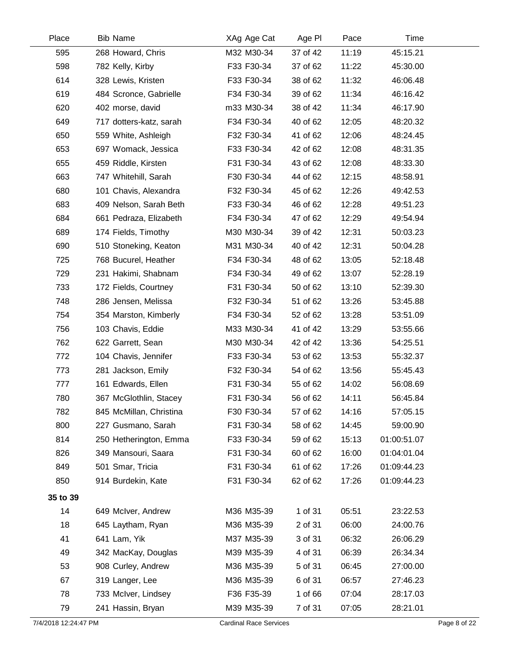| <b>Bib Name</b><br>Place       | XAg Age Cat                   | Age PI   | Pace  | Time        |              |
|--------------------------------|-------------------------------|----------|-------|-------------|--------------|
| 595<br>268 Howard, Chris       | M32 M30-34                    | 37 of 42 | 11:19 | 45:15.21    |              |
| 598<br>782 Kelly, Kirby        | F33 F30-34                    | 37 of 62 | 11:22 | 45:30.00    |              |
| 614<br>328 Lewis, Kristen      | F33 F30-34                    | 38 of 62 | 11:32 | 46:06.48    |              |
| 619<br>484 Scronce, Gabrielle  | F34 F30-34                    | 39 of 62 | 11:34 | 46:16.42    |              |
| 620<br>402 morse, david        | m33 M30-34                    | 38 of 42 | 11:34 | 46:17.90    |              |
| 649<br>717 dotters-katz, sarah | F34 F30-34                    | 40 of 62 | 12:05 | 48:20.32    |              |
| 650<br>559 White, Ashleigh     | F32 F30-34                    | 41 of 62 | 12:06 | 48:24.45    |              |
| 653<br>697 Womack, Jessica     | F33 F30-34                    | 42 of 62 | 12:08 | 48:31.35    |              |
| 655<br>459 Riddle, Kirsten     | F31 F30-34                    | 43 of 62 | 12:08 | 48:33.30    |              |
| 663<br>747 Whitehill, Sarah    | F30 F30-34                    | 44 of 62 | 12:15 | 48:58.91    |              |
| 680<br>101 Chavis, Alexandra   | F32 F30-34                    | 45 of 62 | 12:26 | 49:42.53    |              |
| 683<br>409 Nelson, Sarah Beth  | F33 F30-34                    | 46 of 62 | 12:28 | 49:51.23    |              |
| 684<br>661 Pedraza, Elizabeth  | F34 F30-34                    | 47 of 62 | 12:29 | 49:54.94    |              |
| 689<br>174 Fields, Timothy     | M30 M30-34                    | 39 of 42 | 12:31 | 50:03.23    |              |
| 690<br>510 Stoneking, Keaton   | M31 M30-34                    | 40 of 42 | 12:31 | 50:04.28    |              |
| 725<br>768 Bucurel, Heather    | F34 F30-34                    | 48 of 62 | 13:05 | 52:18.48    |              |
| 729<br>231 Hakimi, Shabnam     | F34 F30-34                    | 49 of 62 | 13:07 | 52:28.19    |              |
| 733<br>172 Fields, Courtney    | F31 F30-34                    | 50 of 62 | 13:10 | 52:39.30    |              |
| 748<br>286 Jensen, Melissa     | F32 F30-34                    | 51 of 62 | 13:26 | 53:45.88    |              |
| 754<br>354 Marston, Kimberly   | F34 F30-34                    | 52 of 62 | 13:28 | 53:51.09    |              |
| 756<br>103 Chavis, Eddie       | M33 M30-34                    | 41 of 42 | 13:29 | 53:55.66    |              |
| 762<br>622 Garrett, Sean       | M30 M30-34                    | 42 of 42 | 13:36 | 54:25.51    |              |
| 772<br>104 Chavis, Jennifer    | F33 F30-34                    | 53 of 62 | 13:53 | 55:32.37    |              |
| 773<br>281 Jackson, Emily      | F32 F30-34                    | 54 of 62 | 13:56 | 55:45.43    |              |
| 777<br>161 Edwards, Ellen      | F31 F30-34                    | 55 of 62 | 14:02 | 56:08.69    |              |
| 780<br>367 McGlothlin, Stacey  | F31 F30-34                    | 56 of 62 | 14:11 | 56:45.84    |              |
| 845 McMillan, Christina<br>782 | F30 F30-34                    | 57 of 62 | 14:16 | 57:05.15    |              |
| 800<br>227 Gusmano, Sarah      | F31 F30-34                    | 58 of 62 | 14:45 | 59:00.90    |              |
| 814<br>250 Hetherington, Emma  | F33 F30-34                    | 59 of 62 | 15:13 | 01:00:51.07 |              |
| 826<br>349 Mansouri, Saara     | F31 F30-34                    | 60 of 62 | 16:00 | 01:04:01.04 |              |
| 849<br>501 Smar, Tricia        | F31 F30-34                    | 61 of 62 | 17:26 | 01:09:44.23 |              |
| 850<br>914 Burdekin, Kate      | F31 F30-34                    | 62 of 62 | 17:26 | 01:09:44.23 |              |
| 35 to 39                       |                               |          |       |             |              |
| 14<br>649 McIver, Andrew       | M36 M35-39                    | 1 of 31  | 05:51 | 23:22.53    |              |
| 18<br>645 Laytham, Ryan        | M36 M35-39                    | 2 of 31  | 06:00 | 24:00.76    |              |
| 41<br>641 Lam, Yik             | M37 M35-39                    | 3 of 31  | 06:32 | 26:06.29    |              |
| 49<br>342 MacKay, Douglas      | M39 M35-39                    | 4 of 31  | 06:39 | 26:34.34    |              |
| 53<br>908 Curley, Andrew       | M36 M35-39                    | 5 of 31  | 06:45 | 27:00.00    |              |
| 67<br>319 Langer, Lee          | M36 M35-39                    | 6 of 31  | 06:57 | 27:46.23    |              |
| 78<br>733 McIver, Lindsey      | F36 F35-39                    | 1 of 66  | 07:04 | 28:17.03    |              |
| 79<br>241 Hassin, Bryan        | M39 M35-39                    | 7 of 31  | 07:05 | 28:21.01    |              |
| 7/4/2018 12:24:47 PM           | <b>Cardinal Race Services</b> |          |       |             | Page 8 of 22 |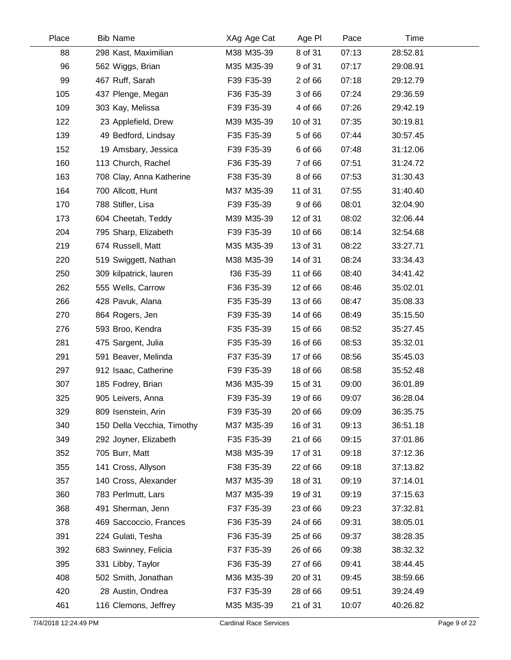| Place | <b>Bib Name</b>            | XAg Age Cat | Age PI   | Pace  | Time     |  |
|-------|----------------------------|-------------|----------|-------|----------|--|
| 88    | 298 Kast, Maximilian       | M38 M35-39  | 8 of 31  | 07:13 | 28:52.81 |  |
| 96    | 562 Wiggs, Brian           | M35 M35-39  | 9 of 31  | 07:17 | 29:08.91 |  |
| 99    | 467 Ruff, Sarah            | F39 F35-39  | 2 of 66  | 07:18 | 29:12.79 |  |
| 105   | 437 Plenge, Megan          | F36 F35-39  | 3 of 66  | 07:24 | 29:36.59 |  |
| 109   | 303 Kay, Melissa           | F39 F35-39  | 4 of 66  | 07:26 | 29:42.19 |  |
| 122   | 23 Applefield, Drew        | M39 M35-39  | 10 of 31 | 07:35 | 30:19.81 |  |
| 139   | 49 Bedford, Lindsay        | F35 F35-39  | 5 of 66  | 07:44 | 30:57.45 |  |
| 152   | 19 Amsbary, Jessica        | F39 F35-39  | 6 of 66  | 07:48 | 31:12.06 |  |
| 160   | 113 Church, Rachel         | F36 F35-39  | 7 of 66  | 07:51 | 31:24.72 |  |
| 163   | 708 Clay, Anna Katherine   | F38 F35-39  | 8 of 66  | 07:53 | 31:30.43 |  |
| 164   | 700 Allcott, Hunt          | M37 M35-39  | 11 of 31 | 07:55 | 31:40.40 |  |
| 170   | 788 Stifler, Lisa          | F39 F35-39  | 9 of 66  | 08:01 | 32:04.90 |  |
| 173   | 604 Cheetah, Teddy         | M39 M35-39  | 12 of 31 | 08:02 | 32:06.44 |  |
| 204   | 795 Sharp, Elizabeth       | F39 F35-39  | 10 of 66 | 08:14 | 32:54.68 |  |
| 219   | 674 Russell, Matt          | M35 M35-39  | 13 of 31 | 08:22 | 33:27.71 |  |
| 220   | 519 Swiggett, Nathan       | M38 M35-39  | 14 of 31 | 08:24 | 33:34.43 |  |
| 250   | 309 kilpatrick, lauren     | f36 F35-39  | 11 of 66 | 08:40 | 34:41.42 |  |
| 262   | 555 Wells, Carrow          | F36 F35-39  | 12 of 66 | 08:46 | 35:02.01 |  |
| 266   | 428 Pavuk, Alana           | F35 F35-39  | 13 of 66 | 08:47 | 35:08.33 |  |
| 270   | 864 Rogers, Jen            | F39 F35-39  | 14 of 66 | 08:49 | 35:15.50 |  |
| 276   | 593 Broo, Kendra           | F35 F35-39  | 15 of 66 | 08:52 | 35:27.45 |  |
| 281   | 475 Sargent, Julia         | F35 F35-39  | 16 of 66 | 08:53 | 35:32.01 |  |
| 291   | 591 Beaver, Melinda        | F37 F35-39  | 17 of 66 | 08:56 | 35:45.03 |  |
| 297   | 912 Isaac, Catherine       | F39 F35-39  | 18 of 66 | 08:58 | 35:52.48 |  |
| 307   | 185 Fodrey, Brian          | M36 M35-39  | 15 of 31 | 09:00 | 36:01.89 |  |
| 325   | 905 Leivers, Anna          | F39 F35-39  | 19 of 66 | 09:07 | 36:28.04 |  |
| 329   | 809 Isenstein, Arin        | F39 F35-39  | 20 of 66 | 09:09 | 36:35.75 |  |
| 340   | 150 Della Vecchia, Timothy | M37 M35-39  | 16 of 31 | 09:13 | 36:51.18 |  |
| 349   | 292 Joyner, Elizabeth      | F35 F35-39  | 21 of 66 | 09:15 | 37:01.86 |  |
| 352   | 705 Burr, Matt             | M38 M35-39  | 17 of 31 | 09:18 | 37:12.36 |  |
| 355   | 141 Cross, Allyson         | F38 F35-39  | 22 of 66 | 09:18 | 37:13.82 |  |
| 357   | 140 Cross, Alexander       | M37 M35-39  | 18 of 31 | 09:19 | 37:14.01 |  |
| 360   | 783 Perlmutt, Lars         | M37 M35-39  | 19 of 31 | 09:19 | 37:15.63 |  |
| 368   | 491 Sherman, Jenn          | F37 F35-39  | 23 of 66 | 09:23 | 37:32.81 |  |
| 378   | 469 Saccoccio, Frances     | F36 F35-39  | 24 of 66 | 09:31 | 38:05.01 |  |
| 391   | 224 Gulati, Tesha          | F36 F35-39  | 25 of 66 | 09:37 | 38:28.35 |  |
| 392   | 683 Swinney, Felicia       | F37 F35-39  | 26 of 66 | 09:38 | 38:32.32 |  |
| 395   | 331 Libby, Taylor          | F36 F35-39  | 27 of 66 | 09:41 | 38:44.45 |  |
| 408   | 502 Smith, Jonathan        | M36 M35-39  | 20 of 31 | 09:45 | 38:59.66 |  |
| 420   | 28 Austin, Ondrea          | F37 F35-39  | 28 of 66 | 09:51 | 39:24.49 |  |
| 461   | 116 Clemons, Jeffrey       | M35 M35-39  | 21 of 31 | 10:07 | 40:26.82 |  |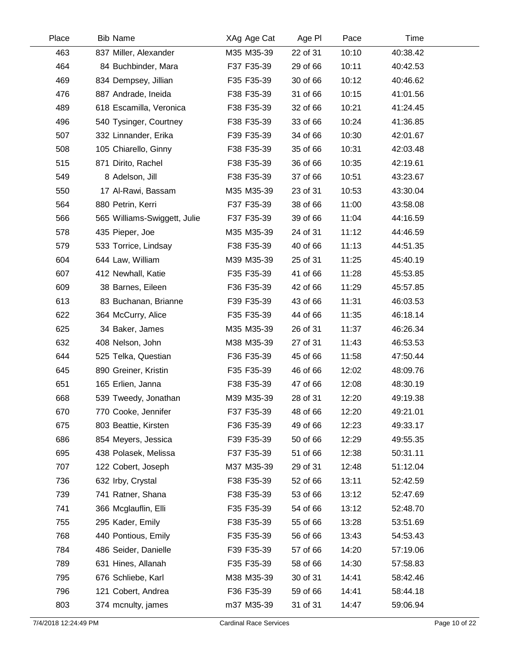| Place | <b>Bib Name</b>              | XAg Age Cat | Age PI   | Pace  | Time     |  |
|-------|------------------------------|-------------|----------|-------|----------|--|
| 463   | 837 Miller, Alexander        | M35 M35-39  | 22 of 31 | 10:10 | 40:38.42 |  |
| 464   | 84 Buchbinder, Mara          | F37 F35-39  | 29 of 66 | 10:11 | 40:42.53 |  |
| 469   | 834 Dempsey, Jillian         | F35 F35-39  | 30 of 66 | 10:12 | 40:46.62 |  |
| 476   | 887 Andrade, Ineida          | F38 F35-39  | 31 of 66 | 10:15 | 41:01.56 |  |
| 489   | 618 Escamilla, Veronica      | F38 F35-39  | 32 of 66 | 10:21 | 41:24.45 |  |
| 496   | 540 Tysinger, Courtney       | F38 F35-39  | 33 of 66 | 10:24 | 41:36.85 |  |
| 507   | 332 Linnander, Erika         | F39 F35-39  | 34 of 66 | 10:30 | 42:01.67 |  |
| 508   | 105 Chiarello, Ginny         | F38 F35-39  | 35 of 66 | 10:31 | 42:03.48 |  |
| 515   | 871 Dirito, Rachel           | F38 F35-39  | 36 of 66 | 10:35 | 42:19.61 |  |
| 549   | 8 Adelson, Jill              | F38 F35-39  | 37 of 66 | 10:51 | 43:23.67 |  |
| 550   | 17 Al-Rawi, Bassam           | M35 M35-39  | 23 of 31 | 10:53 | 43:30.04 |  |
| 564   | 880 Petrin, Kerri            | F37 F35-39  | 38 of 66 | 11:00 | 43:58.08 |  |
| 566   | 565 Williams-Swiggett, Julie | F37 F35-39  | 39 of 66 | 11:04 | 44:16.59 |  |
| 578   | 435 Pieper, Joe              | M35 M35-39  | 24 of 31 | 11:12 | 44:46.59 |  |
| 579   | 533 Torrice, Lindsay         | F38 F35-39  | 40 of 66 | 11:13 | 44:51.35 |  |
| 604   | 644 Law, William             | M39 M35-39  | 25 of 31 | 11:25 | 45:40.19 |  |
| 607   | 412 Newhall, Katie           | F35 F35-39  | 41 of 66 | 11:28 | 45:53.85 |  |
| 609   | 38 Barnes, Eileen            | F36 F35-39  | 42 of 66 | 11:29 | 45:57.85 |  |
| 613   | 83 Buchanan, Brianne         | F39 F35-39  | 43 of 66 | 11:31 | 46:03.53 |  |
| 622   | 364 McCurry, Alice           | F35 F35-39  | 44 of 66 | 11:35 | 46:18.14 |  |
| 625   | 34 Baker, James              | M35 M35-39  | 26 of 31 | 11:37 | 46:26.34 |  |
| 632   | 408 Nelson, John             | M38 M35-39  | 27 of 31 | 11:43 | 46:53.53 |  |
| 644   | 525 Telka, Questian          | F36 F35-39  | 45 of 66 | 11:58 | 47:50.44 |  |
| 645   | 890 Greiner, Kristin         | F35 F35-39  | 46 of 66 | 12:02 | 48:09.76 |  |
| 651   | 165 Erlien, Janna            | F38 F35-39  | 47 of 66 | 12:08 | 48:30.19 |  |
| 668   | 539 Tweedy, Jonathan         | M39 M35-39  | 28 of 31 | 12:20 | 49:19.38 |  |
| 670   | 770 Cooke, Jennifer          | F37 F35-39  | 48 of 66 | 12:20 | 49:21.01 |  |
| 675   | 803 Beattie, Kirsten         | F36 F35-39  | 49 of 66 | 12:23 | 49:33.17 |  |
| 686   | 854 Meyers, Jessica          | F39 F35-39  | 50 of 66 | 12:29 | 49:55.35 |  |
| 695   | 438 Polasek, Melissa         | F37 F35-39  | 51 of 66 | 12:38 | 50:31.11 |  |
| 707   | 122 Cobert, Joseph           | M37 M35-39  | 29 of 31 | 12:48 | 51:12.04 |  |
| 736   | 632 Irby, Crystal            | F38 F35-39  | 52 of 66 | 13:11 | 52:42.59 |  |
| 739   | 741 Ratner, Shana            | F38 F35-39  | 53 of 66 | 13:12 | 52:47.69 |  |
| 741   | 366 Mcglauflin, Elli         | F35 F35-39  | 54 of 66 | 13:12 | 52:48.70 |  |
| 755   | 295 Kader, Emily             | F38 F35-39  | 55 of 66 | 13:28 | 53:51.69 |  |
| 768   | 440 Pontious, Emily          | F35 F35-39  | 56 of 66 | 13:43 | 54:53.43 |  |
| 784   | 486 Seider, Danielle         | F39 F35-39  | 57 of 66 | 14:20 | 57:19.06 |  |
| 789   | 631 Hines, Allanah           | F35 F35-39  | 58 of 66 | 14:30 | 57:58.83 |  |
| 795   | 676 Schliebe, Karl           | M38 M35-39  | 30 of 31 | 14:41 | 58:42.46 |  |
| 796   | 121 Cobert, Andrea           | F36 F35-39  | 59 of 66 | 14:41 | 58:44.18 |  |
| 803   | 374 mcnulty, james           | m37 M35-39  | 31 of 31 | 14:47 | 59:06.94 |  |
|       |                              |             |          |       |          |  |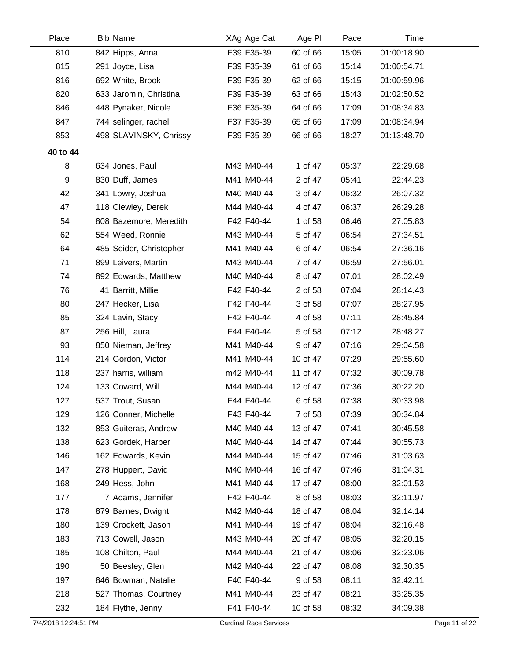| Place    | <b>Bib Name</b>         | XAg Age Cat | Age PI   | Pace  | Time        |  |
|----------|-------------------------|-------------|----------|-------|-------------|--|
| 810      | 842 Hipps, Anna         | F39 F35-39  | 60 of 66 | 15:05 | 01:00:18.90 |  |
| 815      | 291 Joyce, Lisa         | F39 F35-39  | 61 of 66 | 15:14 | 01:00:54.71 |  |
| 816      | 692 White, Brook        | F39 F35-39  | 62 of 66 | 15:15 | 01:00:59.96 |  |
| 820      | 633 Jaromin, Christina  | F39 F35-39  | 63 of 66 | 15:43 | 01:02:50.52 |  |
| 846      | 448 Pynaker, Nicole     | F36 F35-39  | 64 of 66 | 17:09 | 01:08:34.83 |  |
| 847      | 744 selinger, rachel    | F37 F35-39  | 65 of 66 | 17:09 | 01:08:34.94 |  |
| 853      | 498 SLAVINSKY, Chrissy  | F39 F35-39  | 66 of 66 | 18:27 | 01:13:48.70 |  |
| 40 to 44 |                         |             |          |       |             |  |
| 8        | 634 Jones, Paul         | M43 M40-44  | 1 of 47  | 05:37 | 22:29.68    |  |
| 9        | 830 Duff, James         | M41 M40-44  | 2 of 47  | 05:41 | 22:44.23    |  |
| 42       | 341 Lowry, Joshua       | M40 M40-44  | 3 of 47  | 06:32 | 26:07.32    |  |
| 47       | 118 Clewley, Derek      | M44 M40-44  | 4 of 47  | 06:37 | 26:29.28    |  |
| 54       | 808 Bazemore, Meredith  | F42 F40-44  | 1 of 58  | 06:46 | 27:05.83    |  |
| 62       | 554 Weed, Ronnie        | M43 M40-44  | 5 of 47  | 06:54 | 27:34.51    |  |
| 64       | 485 Seider, Christopher | M41 M40-44  | 6 of 47  | 06:54 | 27:36.16    |  |
| 71       | 899 Leivers, Martin     | M43 M40-44  | 7 of 47  | 06:59 | 27:56.01    |  |
| 74       | 892 Edwards, Matthew    | M40 M40-44  | 8 of 47  | 07:01 | 28:02.49    |  |
| 76       | 41 Barritt, Millie      | F42 F40-44  | 2 of 58  | 07:04 | 28:14.43    |  |
| 80       | 247 Hecker, Lisa        | F42 F40-44  | 3 of 58  | 07:07 | 28:27.95    |  |
| 85       | 324 Lavin, Stacy        | F42 F40-44  | 4 of 58  | 07:11 | 28:45.84    |  |
| 87       | 256 Hill, Laura         | F44 F40-44  | 5 of 58  | 07:12 | 28:48.27    |  |
| 93       | 850 Nieman, Jeffrey     | M41 M40-44  | 9 of 47  | 07:16 | 29:04.58    |  |
| 114      | 214 Gordon, Victor      | M41 M40-44  | 10 of 47 | 07:29 | 29:55.60    |  |
| 118      | 237 harris, william     | m42 M40-44  | 11 of 47 | 07:32 | 30:09.78    |  |
| 124      | 133 Coward, Will        | M44 M40-44  | 12 of 47 | 07:36 | 30:22.20    |  |
| 127      | 537 Trout, Susan        | F44 F40-44  | 6 of 58  | 07:38 | 30:33.98    |  |
| 129      | 126 Conner, Michelle    | F43 F40-44  | 7 of 58  | 07:39 | 30:34.84    |  |
| 132      | 853 Guiteras, Andrew    | M40 M40-44  | 13 of 47 | 07:41 | 30:45.58    |  |
| 138      | 623 Gordek, Harper      | M40 M40-44  | 14 of 47 | 07:44 | 30:55.73    |  |
| 146      | 162 Edwards, Kevin      | M44 M40-44  | 15 of 47 | 07:46 | 31:03.63    |  |
| 147      | 278 Huppert, David      | M40 M40-44  | 16 of 47 | 07:46 | 31:04.31    |  |
| 168      | 249 Hess, John          | M41 M40-44  | 17 of 47 | 08:00 | 32:01.53    |  |
| 177      | 7 Adams, Jennifer       | F42 F40-44  | 8 of 58  | 08:03 | 32:11.97    |  |
| 178      | 879 Barnes, Dwight      | M42 M40-44  | 18 of 47 | 08:04 | 32:14.14    |  |
| 180      | 139 Crockett, Jason     | M41 M40-44  | 19 of 47 | 08:04 | 32:16.48    |  |
| 183      | 713 Cowell, Jason       | M43 M40-44  | 20 of 47 | 08:05 | 32:20.15    |  |
| 185      | 108 Chilton, Paul       | M44 M40-44  | 21 of 47 | 08:06 | 32:23.06    |  |
| 190      | 50 Beesley, Glen        | M42 M40-44  | 22 of 47 | 08:08 | 32:30.35    |  |
| 197      | 846 Bowman, Natalie     | F40 F40-44  | 9 of 58  | 08:11 | 32:42.11    |  |
| 218      | 527 Thomas, Courtney    | M41 M40-44  | 23 of 47 | 08:21 | 33:25.35    |  |
| 232      | 184 Flythe, Jenny       | F41 F40-44  | 10 of 58 | 08:32 | 34:09.38    |  |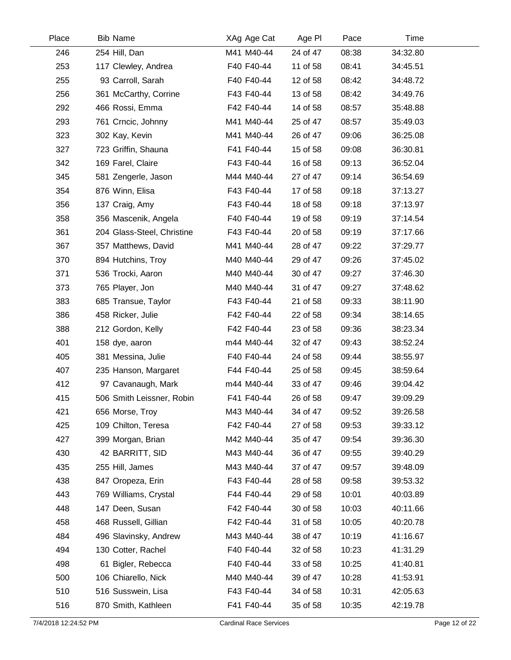| 254 Hill, Dan<br>M41 M40-44<br>24 of 47<br>08:38<br>34:32.80<br>246<br>253<br>117 Clewley, Andrea<br>F40 F40-44<br>11 of 58<br>08:41<br>34:45.51<br>255<br>93 Carroll, Sarah<br>F40 F40-44<br>12 of 58<br>08:42<br>34:48.72<br>256<br>361 McCarthy, Corrine<br>F43 F40-44<br>13 of 58<br>08:42<br>34:49.76 |  |
|------------------------------------------------------------------------------------------------------------------------------------------------------------------------------------------------------------------------------------------------------------------------------------------------------------|--|
|                                                                                                                                                                                                                                                                                                            |  |
|                                                                                                                                                                                                                                                                                                            |  |
|                                                                                                                                                                                                                                                                                                            |  |
|                                                                                                                                                                                                                                                                                                            |  |
| 292<br>466 Rossi, Emma<br>F42 F40-44<br>14 of 58<br>08:57<br>35:48.88                                                                                                                                                                                                                                      |  |
| 293<br>761 Crncic, Johnny<br>M41 M40-44<br>25 of 47<br>08:57<br>35:49.03                                                                                                                                                                                                                                   |  |
| 323<br>M41 M40-44<br>09:06<br>36:25.08<br>302 Kay, Kevin<br>26 of 47                                                                                                                                                                                                                                       |  |
| 327<br>723 Griffin, Shauna<br>F41 F40-44<br>15 of 58<br>09:08<br>36:30.81                                                                                                                                                                                                                                  |  |
| 342<br>09:13<br>169 Farel, Claire<br>F43 F40-44<br>16 of 58<br>36:52.04                                                                                                                                                                                                                                    |  |
| 345<br>M44 M40-44<br>27 of 47<br>09:14<br>581 Zengerle, Jason<br>36:54.69                                                                                                                                                                                                                                  |  |
| 354<br>F43 F40-44<br>17 of 58<br>09:18<br>37:13.27<br>876 Winn, Elisa                                                                                                                                                                                                                                      |  |
| 356<br>18 of 58<br>137 Craig, Amy<br>F43 F40-44<br>09:18<br>37:13.97                                                                                                                                                                                                                                       |  |
| 358<br>356 Mascenik, Angela<br>F40 F40-44<br>19 of 58<br>09:19<br>37:14.54                                                                                                                                                                                                                                 |  |
| 361<br>204 Glass-Steel, Christine<br>F43 F40-44<br>20 of 58<br>09:19<br>37:17.66                                                                                                                                                                                                                           |  |
| 367<br>357 Matthews, David<br>M41 M40-44<br>28 of 47<br>09:22<br>37:29.77                                                                                                                                                                                                                                  |  |
| 370<br>894 Hutchins, Troy<br>M40 M40-44<br>29 of 47<br>09:26<br>37:45.02                                                                                                                                                                                                                                   |  |
| 371<br>M40 M40-44<br>30 of 47<br>09:27<br>536 Trocki, Aaron<br>37:46.30                                                                                                                                                                                                                                    |  |
| 373<br>765 Player, Jon<br>M40 M40-44<br>31 of 47<br>09:27<br>37:48.62                                                                                                                                                                                                                                      |  |
| 383<br>685 Transue, Taylor<br>F43 F40-44<br>21 of 58<br>09:33<br>38:11.90                                                                                                                                                                                                                                  |  |
| 386<br>458 Ricker, Julie<br>F42 F40-44<br>22 of 58<br>09:34<br>38:14.65                                                                                                                                                                                                                                    |  |
| F42 F40-44<br>388<br>212 Gordon, Kelly<br>23 of 58<br>09:36<br>38:23.34                                                                                                                                                                                                                                    |  |
| 401<br>m44 M40-44<br>32 of 47<br>09:43<br>38:52.24<br>158 dye, aaron                                                                                                                                                                                                                                       |  |
| 405<br>381 Messina, Julie<br>F40 F40-44<br>24 of 58<br>09:44<br>38:55.97                                                                                                                                                                                                                                   |  |
| 407<br>235 Hanson, Margaret<br>F44 F40-44<br>25 of 58<br>38:59.64<br>09:45                                                                                                                                                                                                                                 |  |
| 412<br>97 Cavanaugh, Mark<br>m44 M40-44<br>33 of 47<br>09:46<br>39:04.42                                                                                                                                                                                                                                   |  |
| 415<br>506 Smith Leissner, Robin<br>F41 F40-44<br>26 of 58<br>09:47<br>39:09.29                                                                                                                                                                                                                            |  |
| 421<br>M43 M40-44<br>09:52<br>656 Morse, Troy<br>34 of 47<br>39:26.58                                                                                                                                                                                                                                      |  |
| 425<br>109 Chilton, Teresa<br>F42 F40-44<br>27 of 58<br>09:53<br>39:33.12                                                                                                                                                                                                                                  |  |
| 427<br>399 Morgan, Brian<br>M42 M40-44<br>35 of 47<br>39:36.30<br>09:54                                                                                                                                                                                                                                    |  |
| 430<br>M43 M40-44<br>42 BARRITT, SID<br>36 of 47<br>09:55<br>39:40.29                                                                                                                                                                                                                                      |  |
| 435<br>255 Hill, James<br>M43 M40-44<br>37 of 47<br>09:57<br>39:48.09                                                                                                                                                                                                                                      |  |
| 438<br>847 Oropeza, Erin<br>F43 F40-44<br>28 of 58<br>09:58<br>39:53.32                                                                                                                                                                                                                                    |  |
| 443<br>769 Williams, Crystal<br>10:01<br>F44 F40-44<br>29 of 58<br>40:03.89                                                                                                                                                                                                                                |  |
| 448<br>F42 F40-44<br>10:03<br>147 Deen, Susan<br>30 of 58<br>40:11.66                                                                                                                                                                                                                                      |  |
| 458<br>468 Russell, Gillian<br>F42 F40-44<br>10:05<br>31 of 58<br>40:20.78                                                                                                                                                                                                                                 |  |
| 484<br>M43 M40-44<br>10:19<br>496 Slavinsky, Andrew<br>38 of 47<br>41:16.67                                                                                                                                                                                                                                |  |
| 494<br>F40 F40-44<br>32 of 58<br>10:23<br>130 Cotter, Rachel<br>41:31.29                                                                                                                                                                                                                                   |  |
| 498<br>F40 F40-44<br>10:25<br>61 Bigler, Rebecca<br>33 of 58<br>41:40.81                                                                                                                                                                                                                                   |  |
| 500<br>10:28<br>106 Chiarello, Nick<br>M40 M40-44<br>39 of 47<br>41:53.91                                                                                                                                                                                                                                  |  |
| 510<br>516 Susswein, Lisa<br>F43 F40-44<br>34 of 58<br>10:31<br>42:05.63                                                                                                                                                                                                                                   |  |
| 516<br>870 Smith, Kathleen<br>F41 F40-44<br>35 of 58<br>10:35<br>42:19.78                                                                                                                                                                                                                                  |  |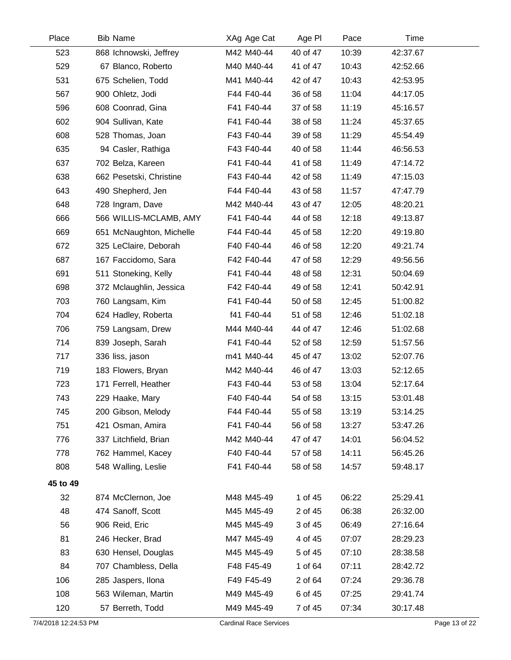| Place                | <b>Bib Name</b>          | XAg Age Cat                   | Age PI   | Pace  | Time     |               |
|----------------------|--------------------------|-------------------------------|----------|-------|----------|---------------|
| 523                  | 868 Ichnowski, Jeffrey   | M42 M40-44                    | 40 of 47 | 10:39 | 42:37.67 |               |
| 529                  | 67 Blanco, Roberto       | M40 M40-44                    | 41 of 47 | 10:43 | 42:52.66 |               |
| 531                  | 675 Schelien, Todd       | M41 M40-44                    | 42 of 47 | 10:43 | 42:53.95 |               |
| 567                  | 900 Ohletz, Jodi         | F44 F40-44                    | 36 of 58 | 11:04 | 44:17.05 |               |
| 596                  | 608 Coonrad, Gina        | F41 F40-44                    | 37 of 58 | 11:19 | 45:16.57 |               |
| 602                  | 904 Sullivan, Kate       | F41 F40-44                    | 38 of 58 | 11:24 | 45:37.65 |               |
| 608                  | 528 Thomas, Joan         | F43 F40-44                    | 39 of 58 | 11:29 | 45:54.49 |               |
| 635                  | 94 Casler, Rathiga       | F43 F40-44                    | 40 of 58 | 11:44 | 46:56.53 |               |
| 637                  | 702 Belza, Kareen        | F41 F40-44                    | 41 of 58 | 11:49 | 47:14.72 |               |
| 638                  | 662 Pesetski, Christine  | F43 F40-44                    | 42 of 58 | 11:49 | 47:15.03 |               |
| 643                  | 490 Shepherd, Jen        | F44 F40-44                    | 43 of 58 | 11:57 | 47:47.79 |               |
| 648                  | 728 Ingram, Dave         | M42 M40-44                    | 43 of 47 | 12:05 | 48:20.21 |               |
| 666                  | 566 WILLIS-MCLAMB, AMY   | F41 F40-44                    | 44 of 58 | 12:18 | 49:13.87 |               |
| 669                  | 651 McNaughton, Michelle | F44 F40-44                    | 45 of 58 | 12:20 | 49:19.80 |               |
| 672                  | 325 LeClaire, Deborah    | F40 F40-44                    | 46 of 58 | 12:20 | 49:21.74 |               |
| 687                  | 167 Faccidomo, Sara      | F42 F40-44                    | 47 of 58 | 12:29 | 49:56.56 |               |
| 691                  | 511 Stoneking, Kelly     | F41 F40-44                    | 48 of 58 | 12:31 | 50:04.69 |               |
| 698                  | 372 Mclaughlin, Jessica  | F42 F40-44                    | 49 of 58 | 12:41 | 50:42.91 |               |
| 703                  | 760 Langsam, Kim         | F41 F40-44                    | 50 of 58 | 12:45 | 51:00.82 |               |
| 704                  | 624 Hadley, Roberta      | f41 F40-44                    | 51 of 58 | 12:46 | 51:02.18 |               |
| 706                  | 759 Langsam, Drew        | M44 M40-44                    | 44 of 47 | 12:46 | 51:02.68 |               |
| 714                  | 839 Joseph, Sarah        | F41 F40-44                    | 52 of 58 | 12:59 | 51:57.56 |               |
| 717                  | 336 liss, jason          | m41 M40-44                    | 45 of 47 | 13:02 | 52:07.76 |               |
| 719                  | 183 Flowers, Bryan       | M42 M40-44                    | 46 of 47 | 13:03 | 52:12.65 |               |
| 723                  | 171 Ferrell, Heather     | F43 F40-44                    | 53 of 58 | 13:04 | 52:17.64 |               |
| 743                  | 229 Haake, Mary          | F40 F40-44                    | 54 of 58 | 13:15 | 53:01.48 |               |
| 745                  | 200 Gibson, Melody       | F44 F40-44                    | 55 of 58 | 13:19 | 53:14.25 |               |
| 751                  | 421 Osman, Amira         | F41 F40-44                    | 56 of 58 | 13:27 | 53:47.26 |               |
| 776                  | 337 Litchfield, Brian    | M42 M40-44                    | 47 of 47 | 14:01 | 56:04.52 |               |
| 778                  | 762 Hammel, Kacey        | F40 F40-44                    | 57 of 58 | 14:11 | 56:45.26 |               |
| 808                  | 548 Walling, Leslie      | F41 F40-44                    | 58 of 58 | 14:57 | 59:48.17 |               |
| 45 to 49             |                          |                               |          |       |          |               |
| 32                   | 874 McClernon, Joe       | M48 M45-49                    | 1 of 45  | 06:22 | 25:29.41 |               |
| 48                   | 474 Sanoff, Scott        | M45 M45-49                    | 2 of 45  | 06:38 | 26:32.00 |               |
| 56                   | 906 Reid, Eric           | M45 M45-49                    | 3 of 45  | 06:49 | 27:16.64 |               |
| 81                   | 246 Hecker, Brad         | M47 M45-49                    | 4 of 45  | 07:07 | 28:29.23 |               |
| 83                   | 630 Hensel, Douglas      | M45 M45-49                    | 5 of 45  | 07:10 | 28:38.58 |               |
| 84                   | 707 Chambless, Della     | F48 F45-49                    | 1 of 64  | 07:11 | 28:42.72 |               |
| 106                  | 285 Jaspers, Ilona       | F49 F45-49                    | 2 of 64  | 07:24 | 29:36.78 |               |
| 108                  | 563 Wileman, Martin      | M49 M45-49                    | 6 of 45  | 07:25 | 29:41.74 |               |
| 120                  | 57 Berreth, Todd         | M49 M45-49                    | 7 of 45  | 07:34 | 30:17.48 |               |
| 7/4/2018 12:24:53 PM |                          | <b>Cardinal Race Services</b> |          |       |          | Page 13 of 22 |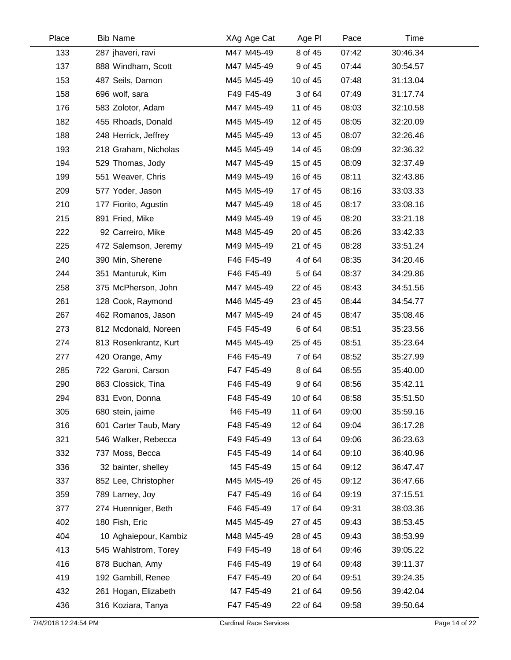| Place | <b>Bib Name</b>       | XAg Age Cat | Age PI   | Pace  | Time     |  |
|-------|-----------------------|-------------|----------|-------|----------|--|
| 133   | 287 jhaveri, ravi     | M47 M45-49  | 8 of 45  | 07:42 | 30:46.34 |  |
| 137   | 888 Windham, Scott    | M47 M45-49  | 9 of 45  | 07:44 | 30:54.57 |  |
| 153   | 487 Seils, Damon      | M45 M45-49  | 10 of 45 | 07:48 | 31:13.04 |  |
| 158   | 696 wolf, sara        | F49 F45-49  | 3 of 64  | 07:49 | 31:17.74 |  |
| 176   | 583 Zolotor, Adam     | M47 M45-49  | 11 of 45 | 08:03 | 32:10.58 |  |
| 182   | 455 Rhoads, Donald    | M45 M45-49  | 12 of 45 | 08:05 | 32:20.09 |  |
| 188   | 248 Herrick, Jeffrey  | M45 M45-49  | 13 of 45 | 08:07 | 32:26.46 |  |
| 193   | 218 Graham, Nicholas  | M45 M45-49  | 14 of 45 | 08:09 | 32:36.32 |  |
| 194   | 529 Thomas, Jody      | M47 M45-49  | 15 of 45 | 08:09 | 32:37.49 |  |
| 199   | 551 Weaver, Chris     | M49 M45-49  | 16 of 45 | 08:11 | 32:43.86 |  |
| 209   | 577 Yoder, Jason      | M45 M45-49  | 17 of 45 | 08:16 | 33:03.33 |  |
| 210   | 177 Fiorito, Agustin  | M47 M45-49  | 18 of 45 | 08:17 | 33:08.16 |  |
| 215   | 891 Fried, Mike       | M49 M45-49  | 19 of 45 | 08:20 | 33:21.18 |  |
| 222   | 92 Carreiro, Mike     | M48 M45-49  | 20 of 45 | 08:26 | 33:42.33 |  |
| 225   | 472 Salemson, Jeremy  | M49 M45-49  | 21 of 45 | 08:28 | 33:51.24 |  |
| 240   | 390 Min, Sherene      | F46 F45-49  | 4 of 64  | 08:35 | 34:20.46 |  |
| 244   | 351 Manturuk, Kim     | F46 F45-49  | 5 of 64  | 08:37 | 34:29.86 |  |
| 258   | 375 McPherson, John   | M47 M45-49  | 22 of 45 | 08:43 | 34:51.56 |  |
| 261   | 128 Cook, Raymond     | M46 M45-49  | 23 of 45 | 08:44 | 34:54.77 |  |
| 267   | 462 Romanos, Jason    | M47 M45-49  | 24 of 45 | 08:47 | 35:08.46 |  |
| 273   | 812 Mcdonald, Noreen  | F45 F45-49  | 6 of 64  | 08:51 | 35:23.56 |  |
| 274   | 813 Rosenkrantz, Kurt | M45 M45-49  | 25 of 45 | 08:51 | 35:23.64 |  |
| 277   | 420 Orange, Amy       | F46 F45-49  | 7 of 64  | 08:52 | 35:27.99 |  |
| 285   | 722 Garoni, Carson    | F47 F45-49  | 8 of 64  | 08:55 | 35:40.00 |  |
| 290   | 863 Clossick, Tina    | F46 F45-49  | 9 of 64  | 08:56 | 35:42.11 |  |
| 294   | 831 Evon, Donna       | F48 F45-49  | 10 of 64 | 08:58 | 35:51.50 |  |
| 305   | 680 stein, jaime      | f46 F45-49  | 11 of 64 | 09:00 | 35:59.16 |  |
| 316   | 601 Carter Taub, Mary | F48 F45-49  | 12 of 64 | 09:04 | 36:17.28 |  |
| 321   | 546 Walker, Rebecca   | F49 F45-49  | 13 of 64 | 09:06 | 36:23.63 |  |
| 332   | 737 Moss, Becca       | F45 F45-49  | 14 of 64 | 09:10 | 36:40.96 |  |
| 336   | 32 bainter, shelley   | f45 F45-49  | 15 of 64 | 09:12 | 36:47.47 |  |
| 337   | 852 Lee, Christopher  | M45 M45-49  | 26 of 45 | 09:12 | 36:47.66 |  |
| 359   | 789 Larney, Joy       | F47 F45-49  | 16 of 64 | 09:19 | 37:15.51 |  |
| 377   | 274 Huenniger, Beth   | F46 F45-49  | 17 of 64 | 09:31 | 38:03.36 |  |
| 402   | 180 Fish, Eric        | M45 M45-49  | 27 of 45 | 09:43 | 38:53.45 |  |
| 404   | 10 Aghaiepour, Kambiz | M48 M45-49  | 28 of 45 | 09:43 | 38:53.99 |  |
| 413   | 545 Wahlstrom, Torey  | F49 F45-49  | 18 of 64 | 09:46 | 39:05.22 |  |
| 416   | 878 Buchan, Amy       | F46 F45-49  | 19 of 64 | 09:48 | 39:11.37 |  |
| 419   | 192 Gambill, Renee    | F47 F45-49  | 20 of 64 | 09:51 | 39:24.35 |  |
| 432   | 261 Hogan, Elizabeth  | f47 F45-49  | 21 of 64 | 09:56 | 39:42.04 |  |
| 436   | 316 Koziara, Tanya    | F47 F45-49  | 22 of 64 | 09:58 | 39:50.64 |  |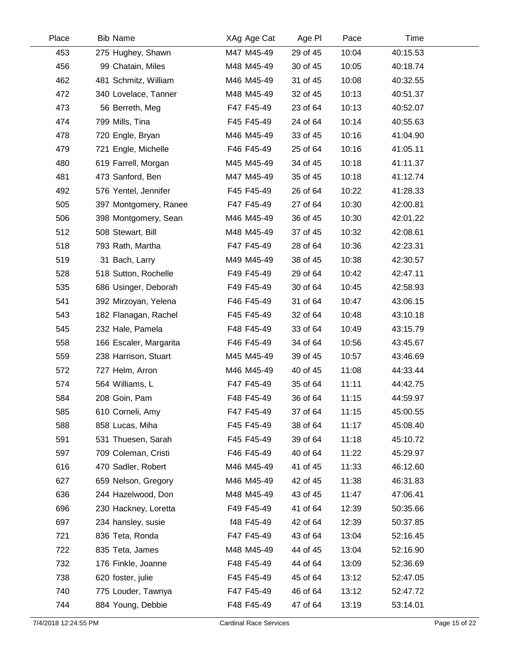| Place | <b>Bib Name</b>        | XAg Age Cat | Age PI   | Pace  | Time     |  |
|-------|------------------------|-------------|----------|-------|----------|--|
| 453   | 275 Hughey, Shawn      | M47 M45-49  | 29 of 45 | 10:04 | 40:15.53 |  |
| 456   | 99 Chatain, Miles      | M48 M45-49  | 30 of 45 | 10:05 | 40:18.74 |  |
| 462   | 481 Schmitz, William   | M46 M45-49  | 31 of 45 | 10:08 | 40:32.55 |  |
| 472   | 340 Lovelace, Tanner   | M48 M45-49  | 32 of 45 | 10:13 | 40:51.37 |  |
| 473   | 56 Berreth, Meg        | F47 F45-49  | 23 of 64 | 10:13 | 40:52.07 |  |
| 474   | 799 Mills, Tina        | F45 F45-49  | 24 of 64 | 10:14 | 40:55.63 |  |
| 478   | 720 Engle, Bryan       | M46 M45-49  | 33 of 45 | 10:16 | 41:04.90 |  |
| 479   | 721 Engle, Michelle    | F46 F45-49  | 25 of 64 | 10:16 | 41:05.11 |  |
| 480   | 619 Farrell, Morgan    | M45 M45-49  | 34 of 45 | 10:18 | 41:11.37 |  |
| 481   | 473 Sanford, Ben       | M47 M45-49  | 35 of 45 | 10:18 | 41:12.74 |  |
| 492   | 576 Yentel, Jennifer   | F45 F45-49  | 26 of 64 | 10:22 | 41:28.33 |  |
| 505   | 397 Montgomery, Ranee  | F47 F45-49  | 27 of 64 | 10:30 | 42:00.81 |  |
| 506   | 398 Montgomery, Sean   | M46 M45-49  | 36 of 45 | 10:30 | 42:01.22 |  |
| 512   | 508 Stewart, Bill      | M48 M45-49  | 37 of 45 | 10:32 | 42:08.61 |  |
| 518   | 793 Rath, Martha       | F47 F45-49  | 28 of 64 | 10:36 | 42:23.31 |  |
| 519   | 31 Bach, Larry         | M49 M45-49  | 38 of 45 | 10:38 | 42:30.57 |  |
| 528   | 518 Sutton, Rochelle   | F49 F45-49  | 29 of 64 | 10:42 | 42:47.11 |  |
| 535   | 686 Usinger, Deborah   | F49 F45-49  | 30 of 64 | 10:45 | 42:58.93 |  |
| 541   | 392 Mirzoyan, Yelena   | F46 F45-49  | 31 of 64 | 10:47 | 43:06.15 |  |
| 543   | 182 Flanagan, Rachel   | F45 F45-49  | 32 of 64 | 10:48 | 43:10.18 |  |
| 545   | 232 Hale, Pamela       | F48 F45-49  | 33 of 64 | 10:49 | 43:15.79 |  |
| 558   | 166 Escaler, Margarita | F46 F45-49  | 34 of 64 | 10:56 | 43:45.67 |  |
| 559   | 238 Harrison, Stuart   | M45 M45-49  | 39 of 45 | 10:57 | 43:46.69 |  |
| 572   | 727 Helm, Arron        | M46 M45-49  | 40 of 45 | 11:08 | 44:33.44 |  |
| 574   | 564 Williams, L        | F47 F45-49  | 35 of 64 | 11:11 | 44:42.75 |  |
| 584   | 208 Goin, Pam          | F48 F45-49  | 36 of 64 | 11:15 | 44:59.97 |  |
| 585   | 610 Corneli, Amy       | F47 F45-49  | 37 of 64 | 11:15 | 45:00.55 |  |
| 588   | 858 Lucas, Miha        | F45 F45-49  | 38 of 64 | 11:17 | 45:08.40 |  |
| 591   | 531 Thuesen, Sarah     | F45 F45-49  | 39 of 64 | 11:18 | 45:10.72 |  |
| 597   | 709 Coleman, Cristi    | F46 F45-49  | 40 of 64 | 11:22 | 45:29.97 |  |
| 616   | 470 Sadler, Robert     | M46 M45-49  | 41 of 45 | 11:33 | 46:12.60 |  |
| 627   | 659 Nelson, Gregory    | M46 M45-49  | 42 of 45 | 11:38 | 46:31.83 |  |
| 636   | 244 Hazelwood, Don     | M48 M45-49  | 43 of 45 | 11:47 | 47:06.41 |  |
| 696   | 230 Hackney, Loretta   | F49 F45-49  | 41 of 64 | 12:39 | 50:35.66 |  |
| 697   | 234 hansley, susie     | f48 F45-49  | 42 of 64 | 12:39 | 50:37.85 |  |
| 721   | 836 Teta, Ronda        | F47 F45-49  | 43 of 64 | 13:04 | 52:16.45 |  |
| 722   | 835 Teta, James        | M48 M45-49  | 44 of 45 | 13:04 | 52:16.90 |  |
| 732   | 176 Finkle, Joanne     | F48 F45-49  | 44 of 64 | 13:09 | 52:36.69 |  |
| 738   | 620 foster, julie      | F45 F45-49  | 45 of 64 | 13:12 | 52:47.05 |  |
| 740   | 775 Louder, Tawnya     | F47 F45-49  | 46 of 64 | 13:12 | 52:47.72 |  |
| 744   | 884 Young, Debbie      | F48 F45-49  | 47 of 64 | 13:19 | 53:14.01 |  |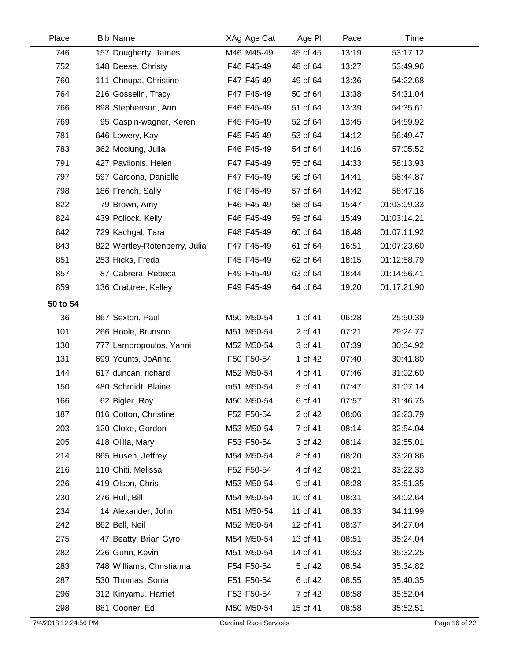| Place    | <b>Bib Name</b>               | XAg Age Cat | Age PI   | Pace  | Time        |  |
|----------|-------------------------------|-------------|----------|-------|-------------|--|
| 746      | 157 Dougherty, James          | M46 M45-49  | 45 of 45 | 13:19 | 53:17.12    |  |
| 752      | 148 Deese, Christy            | F46 F45-49  | 48 of 64 | 13:27 | 53:49.96    |  |
| 760      | 111 Chnupa, Christine         | F47 F45-49  | 49 of 64 | 13:36 | 54:22.68    |  |
| 764      | 216 Gosselin, Tracy           | F47 F45-49  | 50 of 64 | 13:38 | 54:31.04    |  |
| 766      | 898 Stephenson, Ann           | F46 F45-49  | 51 of 64 | 13:39 | 54:35.61    |  |
| 769      | 95 Caspin-wagner, Keren       | F45 F45-49  | 52 of 64 | 13:45 | 54:59.92    |  |
| 781      | 646 Lowery, Kay               | F45 F45-49  | 53 of 64 | 14:12 | 56:49.47    |  |
| 783      | 362 Mcclung, Julia            | F46 F45-49  | 54 of 64 | 14:16 | 57:05.52    |  |
| 791      | 427 Pavilonis, Helen          | F47 F45-49  | 55 of 64 | 14:33 | 58:13.93    |  |
| 797      | 597 Cardona, Danielle         | F47 F45-49  | 56 of 64 | 14:41 | 58:44.87    |  |
| 798      | 186 French, Sally             | F48 F45-49  | 57 of 64 | 14:42 | 58:47.16    |  |
| 822      | 79 Brown, Amy                 | F46 F45-49  | 58 of 64 | 15:47 | 01:03:09.33 |  |
| 824      | 439 Pollock, Kelly            | F46 F45-49  | 59 of 64 | 15:49 | 01:03:14.21 |  |
| 842      | 729 Kachgal, Tara             | F48 F45-49  | 60 of 64 | 16:48 | 01:07:11.92 |  |
| 843      | 822 Wertley-Rotenberry, Julia | F47 F45-49  | 61 of 64 | 16:51 | 01:07:23.60 |  |
| 851      | 253 Hicks, Freda              | F45 F45-49  | 62 of 64 | 18:15 | 01:12:58.79 |  |
| 857      | 87 Cabrera, Rebeca            | F49 F45-49  | 63 of 64 | 18:44 | 01:14:56.41 |  |
| 859      | 136 Crabtree, Kelley          | F49 F45-49  | 64 of 64 | 19:20 | 01:17:21.90 |  |
| 50 to 54 |                               |             |          |       |             |  |
| 36       | 867 Sexton, Paul              | M50 M50-54  | 1 of 41  | 06:28 | 25:50.39    |  |
| 101      | 266 Hoole, Brunson            | M51 M50-54  | 2 of 41  | 07:21 | 29:24.77    |  |
| 130      | 777 Lambropoulos, Yanni       | M52 M50-54  | 3 of 41  | 07:39 | 30:34.92    |  |
| 131      | 699 Younts, JoAnna            | F50 F50-54  | 1 of 42  | 07:40 | 30:41.80    |  |
| 144      | 617 duncan, richard           | M52 M50-54  | 4 of 41  | 07:46 | 31:02.60    |  |
| 150      | 480 Schmidt, Blaine           | m51 M50-54  | 5 of 41  | 07:47 | 31:07.14    |  |
| 166      | 62 Bigler, Roy                | M50 M50-54  | 6 of 41  | 07:57 | 31:46.75    |  |
| 187      | 816 Cotton, Christine         | F52 F50-54  | 2 of 42  | 08:06 | 32:23.79    |  |
| 203      | 120 Cloke, Gordon             | M53 M50-54  | 7 of 41  | 08:14 | 32:54.04    |  |
| 205      | 418 Ollila, Mary              | F53 F50-54  | 3 of 42  | 08:14 | 32:55.01    |  |
| 214      | 865 Husen, Jeffrey            | M54 M50-54  | 8 of 41  | 08:20 | 33:20.86    |  |
| 216      | 110 Chiti, Melissa            | F52 F50-54  | 4 of 42  | 08:21 | 33:22.33    |  |
| 226      | 419 Olson, Chris              | M53 M50-54  | 9 of 41  | 08:28 | 33:51.35    |  |
| 230      | 276 Hull, Bill                | M54 M50-54  | 10 of 41 | 08:31 | 34:02.64    |  |
| 234      | 14 Alexander, John            | M51 M50-54  | 11 of 41 | 08:33 | 34:11.99    |  |
| 242      | 862 Bell, Neil                | M52 M50-54  | 12 of 41 | 08:37 | 34:27.04    |  |
| 275      | 47 Beatty, Brian Gyro         | M54 M50-54  | 13 of 41 | 08:51 | 35:24.04    |  |
| 282      | 226 Gunn, Kevin               | M51 M50-54  | 14 of 41 | 08:53 | 35:32.25    |  |
| 283      | 748 Williams, Christianna     | F54 F50-54  | 5 of 42  | 08:54 | 35:34.82    |  |
| 287      | 530 Thomas, Sonia             | F51 F50-54  | 6 of 42  | 08:55 | 35:40.35    |  |
| 296      | 312 Kinyamu, Harriet          | F53 F50-54  | 7 of 42  | 08:58 | 35:52.04    |  |
| 298      | 881 Cooner, Ed                | M50 M50-54  | 15 of 41 | 08:58 | 35:52.51    |  |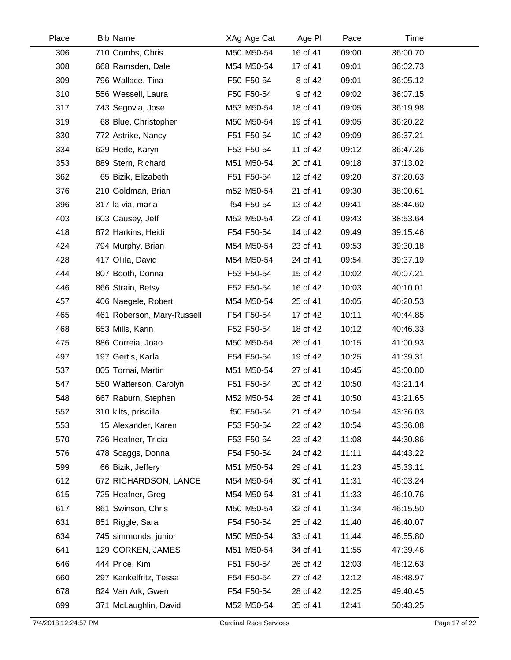| Place | <b>Bib Name</b>            | XAg Age Cat | Age PI   | Pace  | Time     |  |
|-------|----------------------------|-------------|----------|-------|----------|--|
| 306   | 710 Combs, Chris           | M50 M50-54  | 16 of 41 | 09:00 | 36:00.70 |  |
| 308   | 668 Ramsden, Dale          | M54 M50-54  | 17 of 41 | 09:01 | 36:02.73 |  |
| 309   | 796 Wallace, Tina          | F50 F50-54  | 8 of 42  | 09:01 | 36:05.12 |  |
| 310   | 556 Wessell, Laura         | F50 F50-54  | 9 of 42  | 09:02 | 36:07.15 |  |
| 317   | 743 Segovia, Jose          | M53 M50-54  | 18 of 41 | 09:05 | 36:19.98 |  |
| 319   | 68 Blue, Christopher       | M50 M50-54  | 19 of 41 | 09:05 | 36:20.22 |  |
| 330   | 772 Astrike, Nancy         | F51 F50-54  | 10 of 42 | 09:09 | 36:37.21 |  |
| 334   | 629 Hede, Karyn            | F53 F50-54  | 11 of 42 | 09:12 | 36:47.26 |  |
| 353   | 889 Stern, Richard         | M51 M50-54  | 20 of 41 | 09:18 | 37:13.02 |  |
| 362   | 65 Bizik, Elizabeth        | F51 F50-54  | 12 of 42 | 09:20 | 37:20.63 |  |
| 376   | 210 Goldman, Brian         | m52 M50-54  | 21 of 41 | 09:30 | 38:00.61 |  |
| 396   | 317 la via, maria          | f54 F50-54  | 13 of 42 | 09:41 | 38:44.60 |  |
| 403   | 603 Causey, Jeff           | M52 M50-54  | 22 of 41 | 09:43 | 38:53.64 |  |
| 418   | 872 Harkins, Heidi         | F54 F50-54  | 14 of 42 | 09:49 | 39:15.46 |  |
| 424   | 794 Murphy, Brian          | M54 M50-54  | 23 of 41 | 09:53 | 39:30.18 |  |
| 428   | 417 Ollila, David          | M54 M50-54  | 24 of 41 | 09:54 | 39:37.19 |  |
| 444   | 807 Booth, Donna           | F53 F50-54  | 15 of 42 | 10:02 | 40:07.21 |  |
| 446   | 866 Strain, Betsy          | F52 F50-54  | 16 of 42 | 10:03 | 40:10.01 |  |
| 457   | 406 Naegele, Robert        | M54 M50-54  | 25 of 41 | 10:05 | 40:20.53 |  |
| 465   | 461 Roberson, Mary-Russell | F54 F50-54  | 17 of 42 | 10:11 | 40:44.85 |  |
| 468   | 653 Mills, Karin           | F52 F50-54  | 18 of 42 | 10:12 | 40:46.33 |  |
| 475   | 886 Correia, Joao          | M50 M50-54  | 26 of 41 | 10:15 | 41:00.93 |  |
| 497   | 197 Gertis, Karla          | F54 F50-54  | 19 of 42 | 10:25 | 41:39.31 |  |
| 537   | 805 Tornai, Martin         | M51 M50-54  | 27 of 41 | 10:45 | 43:00.80 |  |
| 547   | 550 Watterson, Carolyn     | F51 F50-54  | 20 of 42 | 10:50 | 43:21.14 |  |
| 548   | 667 Raburn, Stephen        | M52 M50-54  | 28 of 41 | 10:50 | 43:21.65 |  |
| 552   | 310 kilts, priscilla       | f50 F50-54  | 21 of 42 | 10:54 | 43:36.03 |  |
| 553   | 15 Alexander, Karen        | F53 F50-54  | 22 of 42 | 10:54 | 43:36.08 |  |
| 570   | 726 Heafner, Tricia        | F53 F50-54  | 23 of 42 | 11:08 | 44:30.86 |  |
| 576   | 478 Scaggs, Donna          | F54 F50-54  | 24 of 42 | 11:11 | 44:43.22 |  |
| 599   | 66 Bizik, Jeffery          | M51 M50-54  | 29 of 41 | 11:23 | 45:33.11 |  |
| 612   | 672 RICHARDSON, LANCE      | M54 M50-54  | 30 of 41 | 11:31 | 46:03.24 |  |
| 615   | 725 Heafner, Greg          | M54 M50-54  | 31 of 41 | 11:33 | 46:10.76 |  |
| 617   | 861 Swinson, Chris         | M50 M50-54  | 32 of 41 | 11:34 | 46:15.50 |  |
| 631   | 851 Riggle, Sara           | F54 F50-54  | 25 of 42 | 11:40 | 46:40.07 |  |
| 634   | 745 simmonds, junior       | M50 M50-54  | 33 of 41 | 11:44 | 46:55.80 |  |
| 641   | 129 CORKEN, JAMES          | M51 M50-54  | 34 of 41 | 11:55 | 47:39.46 |  |
| 646   | 444 Price, Kim             | F51 F50-54  | 26 of 42 | 12:03 | 48:12.63 |  |
| 660   | 297 Kankelfritz, Tessa     | F54 F50-54  | 27 of 42 | 12:12 | 48:48.97 |  |
| 678   | 824 Van Ark, Gwen          | F54 F50-54  | 28 of 42 | 12:25 | 49:40.45 |  |
| 699   | 371 McLaughlin, David      | M52 M50-54  | 35 of 41 | 12:41 | 50:43.25 |  |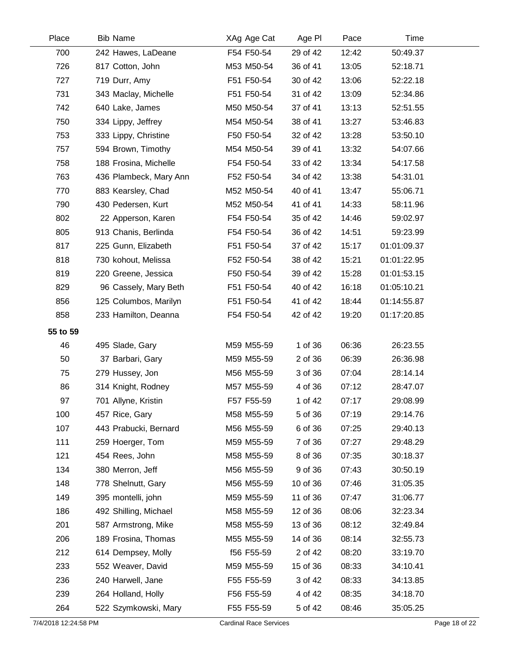| Place                | <b>Bib Name</b>        | XAg Age Cat                   | Age PI   | Pace  | Time        |               |
|----------------------|------------------------|-------------------------------|----------|-------|-------------|---------------|
| 700                  | 242 Hawes, LaDeane     | F54 F50-54                    | 29 of 42 | 12:42 | 50:49.37    |               |
| 726                  | 817 Cotton, John       | M53 M50-54                    | 36 of 41 | 13:05 | 52:18.71    |               |
| 727                  | 719 Durr, Amy          | F51 F50-54                    | 30 of 42 | 13:06 | 52:22.18    |               |
| 731                  | 343 Maclay, Michelle   | F51 F50-54                    | 31 of 42 | 13:09 | 52:34.86    |               |
| 742                  | 640 Lake, James        | M50 M50-54                    | 37 of 41 | 13:13 | 52:51.55    |               |
| 750                  | 334 Lippy, Jeffrey     | M54 M50-54                    | 38 of 41 | 13:27 | 53:46.83    |               |
| 753                  | 333 Lippy, Christine   | F50 F50-54                    | 32 of 42 | 13:28 | 53:50.10    |               |
| 757                  | 594 Brown, Timothy     | M54 M50-54                    | 39 of 41 | 13:32 | 54:07.66    |               |
| 758                  | 188 Frosina, Michelle  | F54 F50-54                    | 33 of 42 | 13:34 | 54:17.58    |               |
| 763                  | 436 Plambeck, Mary Ann | F52 F50-54                    | 34 of 42 | 13:38 | 54:31.01    |               |
| 770                  | 883 Kearsley, Chad     | M52 M50-54                    | 40 of 41 | 13:47 | 55:06.71    |               |
| 790                  | 430 Pedersen, Kurt     | M52 M50-54                    | 41 of 41 | 14:33 | 58:11.96    |               |
| 802                  | 22 Apperson, Karen     | F54 F50-54                    | 35 of 42 | 14:46 | 59:02.97    |               |
| 805                  | 913 Chanis, Berlinda   | F54 F50-54                    | 36 of 42 | 14:51 | 59:23.99    |               |
| 817                  | 225 Gunn, Elizabeth    | F51 F50-54                    | 37 of 42 | 15:17 | 01:01:09.37 |               |
| 818                  | 730 kohout, Melissa    | F52 F50-54                    | 38 of 42 | 15:21 | 01:01:22.95 |               |
| 819                  | 220 Greene, Jessica    | F50 F50-54                    | 39 of 42 | 15:28 | 01:01:53.15 |               |
| 829                  | 96 Cassely, Mary Beth  | F51 F50-54                    | 40 of 42 | 16:18 | 01:05:10.21 |               |
| 856                  | 125 Columbos, Marilyn  | F51 F50-54                    | 41 of 42 | 18:44 | 01:14:55.87 |               |
| 858                  | 233 Hamilton, Deanna   | F54 F50-54                    | 42 of 42 | 19:20 | 01:17:20.85 |               |
| 55 to 59             |                        |                               |          |       |             |               |
| 46                   | 495 Slade, Gary        | M59 M55-59                    | 1 of 36  | 06:36 | 26:23.55    |               |
| 50                   | 37 Barbari, Gary       | M59 M55-59                    | 2 of 36  | 06:39 | 26:36.98    |               |
| 75                   | 279 Hussey, Jon        | M56 M55-59                    | 3 of 36  | 07:04 | 28:14.14    |               |
| 86                   | 314 Knight, Rodney     | M57 M55-59                    | 4 of 36  | 07:12 | 28:47.07    |               |
| 97                   | 701 Allyne, Kristin    | F57 F55-59                    | 1 of 42  | 07:17 | 29:08.99    |               |
| 100                  | 457 Rice, Gary         | M58 M55-59                    | 5 of 36  | 07:19 | 29:14.76    |               |
| 107                  | 443 Prabucki, Bernard  | M56 M55-59                    | 6 of 36  | 07:25 | 29:40.13    |               |
| 111                  | 259 Hoerger, Tom       | M59 M55-59                    | 7 of 36  | 07:27 | 29:48.29    |               |
| 121                  | 454 Rees, John         | M58 M55-59                    | 8 of 36  | 07:35 | 30:18.37    |               |
| 134                  | 380 Merron, Jeff       | M56 M55-59                    | 9 of 36  | 07:43 | 30:50.19    |               |
| 148                  | 778 Shelnutt, Gary     | M56 M55-59                    | 10 of 36 | 07:46 | 31:05.35    |               |
| 149                  | 395 montelli, john     | M59 M55-59                    | 11 of 36 | 07:47 | 31:06.77    |               |
| 186                  | 492 Shilling, Michael  | M58 M55-59                    | 12 of 36 | 08:06 | 32:23.34    |               |
| 201                  | 587 Armstrong, Mike    | M58 M55-59                    | 13 of 36 | 08:12 | 32:49.84    |               |
| 206                  | 189 Frosina, Thomas    | M55 M55-59                    | 14 of 36 | 08:14 | 32:55.73    |               |
| 212                  | 614 Dempsey, Molly     | f56 F55-59                    | 2 of 42  | 08:20 | 33:19.70    |               |
| 233                  | 552 Weaver, David      | M59 M55-59                    | 15 of 36 | 08:33 | 34:10.41    |               |
| 236                  | 240 Harwell, Jane      | F55 F55-59                    | 3 of 42  | 08:33 | 34:13.85    |               |
| 239                  | 264 Holland, Holly     | F56 F55-59                    | 4 of 42  | 08:35 | 34:18.70    |               |
| 264                  | 522 Szymkowski, Mary   | F55 F55-59                    | 5 of 42  | 08:46 | 35:05.25    |               |
| 7/4/2018 12:24:58 PM |                        | <b>Cardinal Race Services</b> |          |       |             | Page 18 of 22 |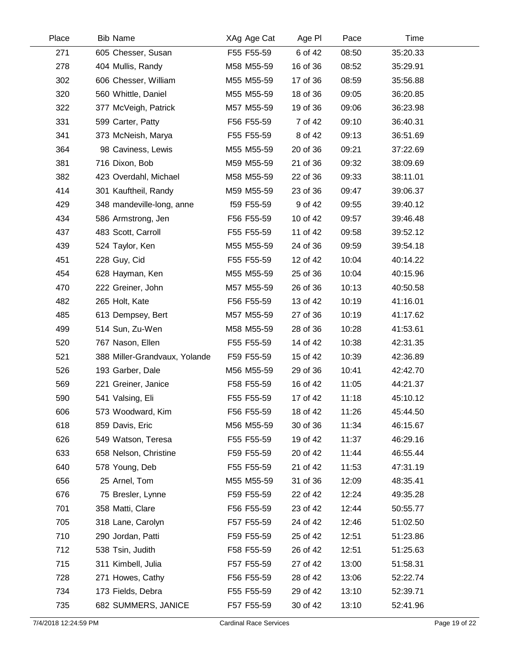| Place | <b>Bib Name</b>               | XAg Age Cat | Age PI   | Pace  | Time     |  |
|-------|-------------------------------|-------------|----------|-------|----------|--|
| 271   | 605 Chesser, Susan            | F55 F55-59  | 6 of 42  | 08:50 | 35:20.33 |  |
| 278   | 404 Mullis, Randy             | M58 M55-59  | 16 of 36 | 08:52 | 35:29.91 |  |
| 302   | 606 Chesser, William          | M55 M55-59  | 17 of 36 | 08:59 | 35:56.88 |  |
| 320   | 560 Whittle, Daniel           | M55 M55-59  | 18 of 36 | 09:05 | 36:20.85 |  |
| 322   | 377 McVeigh, Patrick          | M57 M55-59  | 19 of 36 | 09:06 | 36:23.98 |  |
| 331   | 599 Carter, Patty             | F56 F55-59  | 7 of 42  | 09:10 | 36:40.31 |  |
| 341   | 373 McNeish, Marya            | F55 F55-59  | 8 of 42  | 09:13 | 36:51.69 |  |
| 364   | 98 Caviness, Lewis            | M55 M55-59  | 20 of 36 | 09:21 | 37:22.69 |  |
| 381   | 716 Dixon, Bob                | M59 M55-59  | 21 of 36 | 09:32 | 38:09.69 |  |
| 382   | 423 Overdahl, Michael         | M58 M55-59  | 22 of 36 | 09:33 | 38:11.01 |  |
| 414   | 301 Kauftheil, Randy          | M59 M55-59  | 23 of 36 | 09:47 | 39:06.37 |  |
| 429   | 348 mandeville-long, anne     | f59 F55-59  | 9 of 42  | 09:55 | 39:40.12 |  |
| 434   | 586 Armstrong, Jen            | F56 F55-59  | 10 of 42 | 09:57 | 39:46.48 |  |
| 437   | 483 Scott, Carroll            | F55 F55-59  | 11 of 42 | 09:58 | 39:52.12 |  |
| 439   | 524 Taylor, Ken               | M55 M55-59  | 24 of 36 | 09:59 | 39:54.18 |  |
| 451   | 228 Guy, Cid                  | F55 F55-59  | 12 of 42 | 10:04 | 40:14.22 |  |
| 454   | 628 Hayman, Ken               | M55 M55-59  | 25 of 36 | 10:04 | 40:15.96 |  |
| 470   | 222 Greiner, John             | M57 M55-59  | 26 of 36 | 10:13 | 40:50.58 |  |
| 482   | 265 Holt, Kate                | F56 F55-59  | 13 of 42 | 10:19 | 41:16.01 |  |
| 485   | 613 Dempsey, Bert             | M57 M55-59  | 27 of 36 | 10:19 | 41:17.62 |  |
| 499   | 514 Sun, Zu-Wen               | M58 M55-59  | 28 of 36 | 10:28 | 41:53.61 |  |
| 520   | 767 Nason, Ellen              | F55 F55-59  | 14 of 42 | 10:38 | 42:31.35 |  |
| 521   | 388 Miller-Grandvaux, Yolande | F59 F55-59  | 15 of 42 | 10:39 | 42:36.89 |  |
| 526   | 193 Garber, Dale              | M56 M55-59  | 29 of 36 | 10:41 | 42:42.70 |  |
| 569   | 221 Greiner, Janice           | F58 F55-59  | 16 of 42 | 11:05 | 44:21.37 |  |
| 590   | 541 Valsing, Eli              | F55 F55-59  | 17 of 42 | 11:18 | 45:10.12 |  |
| 606   | 573 Woodward, Kim             | F56 F55-59  | 18 of 42 | 11:26 | 45:44.50 |  |
| 618   | 859 Davis, Eric               | M56 M55-59  | 30 of 36 | 11:34 | 46:15.67 |  |
| 626   | 549 Watson, Teresa            | F55 F55-59  | 19 of 42 | 11:37 | 46:29.16 |  |
| 633   | 658 Nelson, Christine         | F59 F55-59  | 20 of 42 | 11:44 | 46:55.44 |  |
| 640   | 578 Young, Deb                | F55 F55-59  | 21 of 42 | 11:53 | 47:31.19 |  |
| 656   | 25 Arnel, Tom                 | M55 M55-59  | 31 of 36 | 12:09 | 48:35.41 |  |
| 676   | 75 Bresler, Lynne             | F59 F55-59  | 22 of 42 | 12:24 | 49:35.28 |  |
| 701   | 358 Matti, Clare              | F56 F55-59  | 23 of 42 | 12:44 | 50:55.77 |  |
| 705   | 318 Lane, Carolyn             | F57 F55-59  | 24 of 42 | 12:46 | 51:02.50 |  |
| 710   | 290 Jordan, Patti             | F59 F55-59  | 25 of 42 | 12:51 | 51:23.86 |  |
| 712   | 538 Tsin, Judith              | F58 F55-59  | 26 of 42 | 12:51 | 51:25.63 |  |
| 715   | 311 Kimbell, Julia            | F57 F55-59  | 27 of 42 | 13:00 | 51:58.31 |  |
| 728   | 271 Howes, Cathy              | F56 F55-59  | 28 of 42 | 13:06 | 52:22.74 |  |
| 734   | 173 Fields, Debra             | F55 F55-59  | 29 of 42 | 13:10 | 52:39.71 |  |
| 735   | 682 SUMMERS, JANICE           | F57 F55-59  | 30 of 42 | 13:10 | 52:41.96 |  |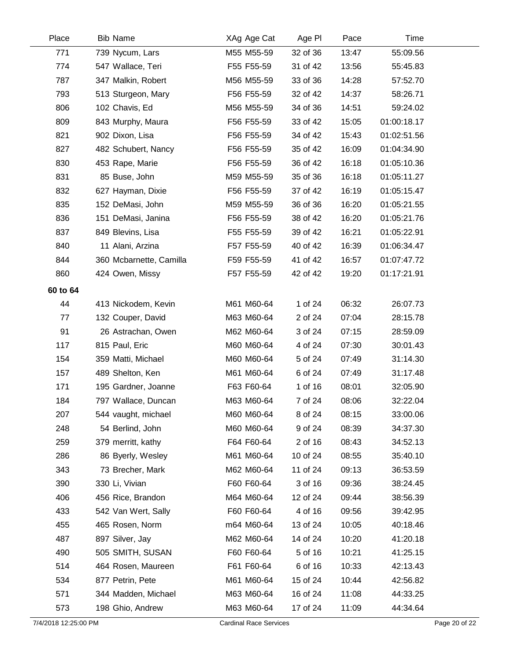| Place    | <b>Bib Name</b>         | XAg Age Cat | Age PI   | Pace  | Time        |  |
|----------|-------------------------|-------------|----------|-------|-------------|--|
| 771      | 739 Nycum, Lars         | M55 M55-59  | 32 of 36 | 13:47 | 55:09.56    |  |
| 774      | 547 Wallace, Teri       | F55 F55-59  | 31 of 42 | 13:56 | 55:45.83    |  |
| 787      | 347 Malkin, Robert      | M56 M55-59  | 33 of 36 | 14:28 | 57:52.70    |  |
| 793      | 513 Sturgeon, Mary      | F56 F55-59  | 32 of 42 | 14:37 | 58:26.71    |  |
| 806      | 102 Chavis, Ed          | M56 M55-59  | 34 of 36 | 14:51 | 59:24.02    |  |
| 809      | 843 Murphy, Maura       | F56 F55-59  | 33 of 42 | 15:05 | 01:00:18.17 |  |
| 821      | 902 Dixon, Lisa         | F56 F55-59  | 34 of 42 | 15:43 | 01:02:51.56 |  |
| 827      | 482 Schubert, Nancy     | F56 F55-59  | 35 of 42 | 16:09 | 01:04:34.90 |  |
| 830      | 453 Rape, Marie         | F56 F55-59  | 36 of 42 | 16:18 | 01:05:10.36 |  |
| 831      | 85 Buse, John           | M59 M55-59  | 35 of 36 | 16:18 | 01:05:11.27 |  |
| 832      | 627 Hayman, Dixie       | F56 F55-59  | 37 of 42 | 16:19 | 01:05:15.47 |  |
| 835      | 152 DeMasi, John        | M59 M55-59  | 36 of 36 | 16:20 | 01:05:21.55 |  |
| 836      | 151 DeMasi, Janina      | F56 F55-59  | 38 of 42 | 16:20 | 01:05:21.76 |  |
| 837      | 849 Blevins, Lisa       | F55 F55-59  | 39 of 42 | 16:21 | 01:05:22.91 |  |
| 840      | 11 Alani, Arzina        | F57 F55-59  | 40 of 42 | 16:39 | 01:06:34.47 |  |
| 844      | 360 Mcbarnette, Camilla | F59 F55-59  | 41 of 42 | 16:57 | 01:07:47.72 |  |
| 860      | 424 Owen, Missy         | F57 F55-59  | 42 of 42 | 19:20 | 01:17:21.91 |  |
| 60 to 64 |                         |             |          |       |             |  |
| 44       | 413 Nickodem, Kevin     | M61 M60-64  | 1 of 24  | 06:32 | 26:07.73    |  |
| 77       | 132 Couper, David       | M63 M60-64  | 2 of 24  | 07:04 | 28:15.78    |  |
| 91       | 26 Astrachan, Owen      | M62 M60-64  | 3 of 24  | 07:15 | 28:59.09    |  |
| 117      | 815 Paul, Eric          | M60 M60-64  | 4 of 24  | 07:30 | 30:01.43    |  |
| 154      | 359 Matti, Michael      | M60 M60-64  | 5 of 24  | 07:49 | 31:14.30    |  |
| 157      | 489 Shelton, Ken        | M61 M60-64  | 6 of 24  | 07:49 | 31:17.48    |  |
| 171      | 195 Gardner, Joanne     | F63 F60-64  | 1 of 16  | 08:01 | 32:05.90    |  |
| 184      | 797 Wallace, Duncan     | M63 M60-64  | 7 of 24  | 08:06 | 32:22.04    |  |
| 207      | 544 vaught, michael     | M60 M60-64  | 8 of 24  | 08:15 | 33:00.06    |  |
| 248      | 54 Berlind, John        | M60 M60-64  | 9 of 24  | 08:39 | 34:37.30    |  |
| 259      | 379 merritt, kathy      | F64 F60-64  | 2 of 16  | 08:43 | 34:52.13    |  |
| 286      | 86 Byerly, Wesley       | M61 M60-64  | 10 of 24 | 08:55 | 35:40.10    |  |
| 343      | 73 Brecher, Mark        | M62 M60-64  | 11 of 24 | 09:13 | 36:53.59    |  |
| 390      | 330 Li, Vivian          | F60 F60-64  | 3 of 16  | 09:36 | 38:24.45    |  |
| 406      | 456 Rice, Brandon       | M64 M60-64  | 12 of 24 | 09:44 | 38:56.39    |  |
| 433      | 542 Van Wert, Sally     | F60 F60-64  | 4 of 16  | 09:56 | 39:42.95    |  |
| 455      | 465 Rosen, Norm         | m64 M60-64  | 13 of 24 | 10:05 | 40:18.46    |  |
| 487      | 897 Silver, Jay         | M62 M60-64  | 14 of 24 | 10:20 | 41:20.18    |  |
| 490      | 505 SMITH, SUSAN        | F60 F60-64  | 5 of 16  | 10:21 | 41:25.15    |  |
| 514      | 464 Rosen, Maureen      | F61 F60-64  | 6 of 16  | 10:33 | 42:13.43    |  |
| 534      | 877 Petrin, Pete        | M61 M60-64  | 15 of 24 | 10:44 | 42:56.82    |  |
| 571      | 344 Madden, Michael     | M63 M60-64  | 16 of 24 | 11:08 | 44:33.25    |  |
| 573      | 198 Ghio, Andrew        | M63 M60-64  | 17 of 24 | 11:09 | 44:34.64    |  |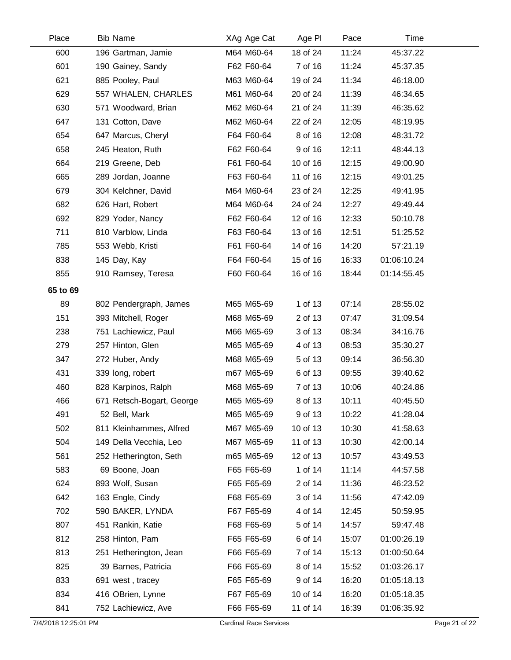| Place    | <b>Bib Name</b>           | XAg Age Cat | Age PI   | Pace  | Time        |  |
|----------|---------------------------|-------------|----------|-------|-------------|--|
| 600      | 196 Gartman, Jamie        | M64 M60-64  | 18 of 24 | 11:24 | 45:37.22    |  |
| 601      | 190 Gainey, Sandy         | F62 F60-64  | 7 of 16  | 11:24 | 45:37.35    |  |
| 621      | 885 Pooley, Paul          | M63 M60-64  | 19 of 24 | 11:34 | 46:18.00    |  |
| 629      | 557 WHALEN, CHARLES       | M61 M60-64  | 20 of 24 | 11:39 | 46:34.65    |  |
| 630      | 571 Woodward, Brian       | M62 M60-64  | 21 of 24 | 11:39 | 46:35.62    |  |
| 647      | 131 Cotton, Dave          | M62 M60-64  | 22 of 24 | 12:05 | 48:19.95    |  |
| 654      | 647 Marcus, Cheryl        | F64 F60-64  | 8 of 16  | 12:08 | 48:31.72    |  |
| 658      | 245 Heaton, Ruth          | F62 F60-64  | 9 of 16  | 12:11 | 48:44.13    |  |
| 664      | 219 Greene, Deb           | F61 F60-64  | 10 of 16 | 12:15 | 49:00.90    |  |
| 665      | 289 Jordan, Joanne        | F63 F60-64  | 11 of 16 | 12:15 | 49:01.25    |  |
| 679      | 304 Kelchner, David       | M64 M60-64  | 23 of 24 | 12:25 | 49:41.95    |  |
| 682      | 626 Hart, Robert          | M64 M60-64  | 24 of 24 | 12:27 | 49:49.44    |  |
| 692      | 829 Yoder, Nancy          | F62 F60-64  | 12 of 16 | 12:33 | 50:10.78    |  |
| 711      | 810 Varblow, Linda        | F63 F60-64  | 13 of 16 | 12:51 | 51:25.52    |  |
| 785      | 553 Webb, Kristi          | F61 F60-64  | 14 of 16 | 14:20 | 57:21.19    |  |
| 838      | 145 Day, Kay              | F64 F60-64  | 15 of 16 | 16:33 | 01:06:10.24 |  |
| 855      | 910 Ramsey, Teresa        | F60 F60-64  | 16 of 16 | 18:44 | 01:14:55.45 |  |
| 65 to 69 |                           |             |          |       |             |  |
| 89       | 802 Pendergraph, James    | M65 M65-69  | 1 of 13  | 07:14 | 28:55.02    |  |
| 151      | 393 Mitchell, Roger       | M68 M65-69  | 2 of 13  | 07:47 | 31:09.54    |  |
| 238      | 751 Lachiewicz, Paul      | M66 M65-69  | 3 of 13  | 08:34 | 34:16.76    |  |
| 279      | 257 Hinton, Glen          | M65 M65-69  | 4 of 13  | 08:53 | 35:30.27    |  |
| 347      | 272 Huber, Andy           | M68 M65-69  | 5 of 13  | 09:14 | 36:56.30    |  |
| 431      | 339 long, robert          | m67 M65-69  | 6 of 13  | 09:55 | 39:40.62    |  |
| 460      | 828 Karpinos, Ralph       | M68 M65-69  | 7 of 13  | 10:06 | 40:24.86    |  |
| 466      | 671 Retsch-Bogart, George | M65 M65-69  | 8 of 13  | 10:11 | 40:45.50    |  |
| 491      | 52 Bell, Mark             | M65 M65-69  | 9 of 13  | 10:22 | 41:28.04    |  |
| 502      | 811 Kleinhammes, Alfred   | M67 M65-69  | 10 of 13 | 10:30 | 41:58.63    |  |
| 504      | 149 Della Vecchia, Leo    | M67 M65-69  | 11 of 13 | 10:30 | 42:00.14    |  |
| 561      | 252 Hetherington, Seth    | m65 M65-69  | 12 of 13 | 10:57 | 43:49.53    |  |
| 583      | 69 Boone, Joan            | F65 F65-69  | 1 of 14  | 11:14 | 44:57.58    |  |
| 624      | 893 Wolf, Susan           | F65 F65-69  | 2 of 14  | 11:36 | 46:23.52    |  |
| 642      | 163 Engle, Cindy          | F68 F65-69  | 3 of 14  | 11:56 | 47:42.09    |  |
| 702      | 590 BAKER, LYNDA          | F67 F65-69  | 4 of 14  | 12:45 | 50:59.95    |  |
| 807      | 451 Rankin, Katie         | F68 F65-69  | 5 of 14  | 14:57 | 59:47.48    |  |
| 812      | 258 Hinton, Pam           | F65 F65-69  | 6 of 14  | 15:07 | 01:00:26.19 |  |
| 813      | 251 Hetherington, Jean    | F66 F65-69  | 7 of 14  | 15:13 | 01:00:50.64 |  |
| 825      | 39 Barnes, Patricia       | F66 F65-69  | 8 of 14  | 15:52 | 01:03:26.17 |  |
| 833      | 691 west, tracey          | F65 F65-69  | 9 of 14  | 16:20 | 01:05:18.13 |  |
| 834      | 416 OBrien, Lynne         | F67 F65-69  | 10 of 14 | 16:20 | 01:05:18.35 |  |
| 841      | 752 Lachiewicz, Ave       | F66 F65-69  | 11 of 14 | 16:39 | 01:06:35.92 |  |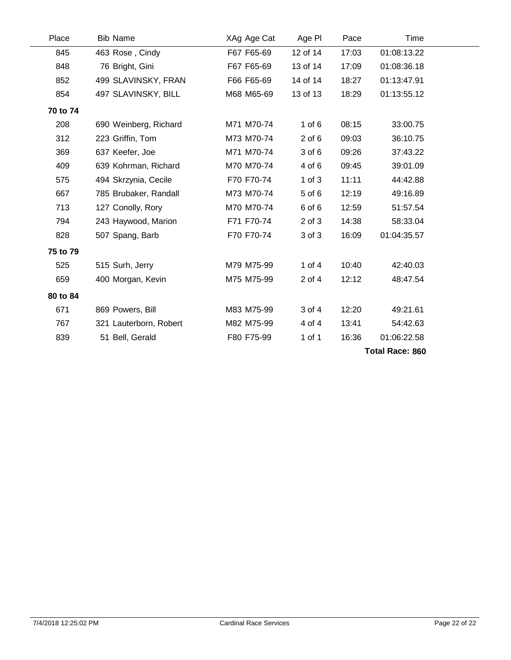| Place    | <b>Bib Name</b>        | XAg Age Cat | Age PI     | Pace  | Time        |  |  |
|----------|------------------------|-------------|------------|-------|-------------|--|--|
| 845      | 463 Rose, Cindy        | F67 F65-69  | 12 of 14   | 17:03 | 01:08:13.22 |  |  |
| 848      | 76 Bright, Gini        | F67 F65-69  | 13 of 14   | 17:09 | 01:08:36.18 |  |  |
| 852      | 499 SLAVINSKY, FRAN    | F66 F65-69  | 14 of 14   | 18:27 | 01:13:47.91 |  |  |
| 854      | 497 SLAVINSKY, BILL    | M68 M65-69  | 13 of 13   | 18:29 | 01:13:55.12 |  |  |
| 70 to 74 |                        |             |            |       |             |  |  |
| 208      | 690 Weinberg, Richard  | M71 M70-74  | $1$ of $6$ | 08:15 | 33:00.75    |  |  |
| 312      | 223 Griffin, Tom       | M73 M70-74  | $2$ of $6$ | 09:03 | 36:10.75    |  |  |
| 369      | 637 Keefer, Joe        | M71 M70-74  | 3 of 6     | 09:26 | 37:43.22    |  |  |
| 409      | 639 Kohrman, Richard   | M70 M70-74  | 4 of 6     | 09:45 | 39:01.09    |  |  |
| 575      | 494 Skrzynia, Cecile   | F70 F70-74  | $1$ of $3$ | 11:11 | 44:42.88    |  |  |
| 667      | 785 Brubaker, Randall  | M73 M70-74  | 5 of 6     | 12:19 | 49:16.89    |  |  |
| 713      | 127 Conolly, Rory      | M70 M70-74  | 6 of 6     | 12:59 | 51:57.54    |  |  |
| 794      | 243 Haywood, Marion    | F71 F70-74  | $2$ of $3$ | 14:38 | 58:33.04    |  |  |
| 828      | 507 Spang, Barb        | F70 F70-74  | 3 of 3     | 16:09 | 01:04:35.57 |  |  |
| 75 to 79 |                        |             |            |       |             |  |  |
| 525      | 515 Surh, Jerry        | M79 M75-99  | 1 of $4$   | 10:40 | 42:40.03    |  |  |
| 659      | 400 Morgan, Kevin      | M75 M75-99  | $2$ of $4$ | 12:12 | 48:47.54    |  |  |
| 80 to 84 |                        |             |            |       |             |  |  |
| 671      | 869 Powers, Bill       | M83 M75-99  | 3 of 4     | 12:20 | 49:21.61    |  |  |
| 767      | 321 Lauterborn, Robert | M82 M75-99  | 4 of 4     | 13:41 | 54:42.63    |  |  |
| 839      | 51 Bell, Gerald        | F80 F75-99  | 1 of 1     | 16:36 | 01:06:22.58 |  |  |
|          | <b>Total Race: 860</b> |             |            |       |             |  |  |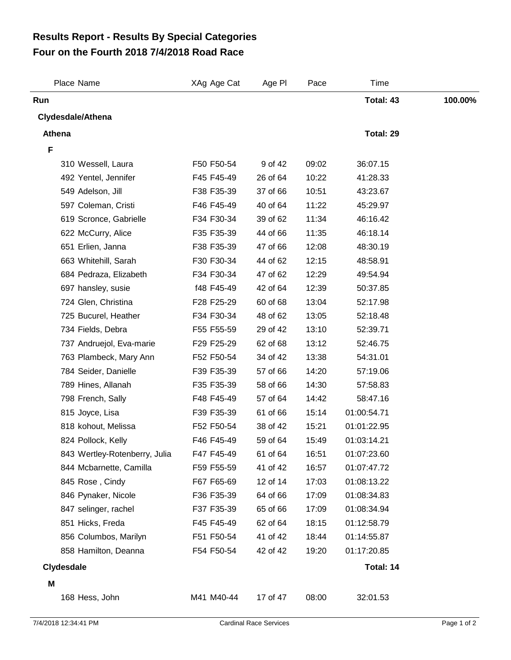## **Four on the Fourth 2018 7/4/2018 Road Race Results Report - Results By Special Categories**

| Place Name                    | XAg Age Cat | Age PI   | Pace  | Time        |         |
|-------------------------------|-------------|----------|-------|-------------|---------|
| Run                           |             |          |       | Total: 43   | 100.00% |
| <b>Clydesdale/Athena</b>      |             |          |       |             |         |
| <b>Athena</b>                 |             |          |       | Total: 29   |         |
| F                             |             |          |       |             |         |
| 310 Wessell, Laura            | F50 F50-54  | 9 of 42  | 09:02 | 36:07.15    |         |
| 492 Yentel, Jennifer          | F45 F45-49  | 26 of 64 | 10:22 | 41:28.33    |         |
| 549 Adelson, Jill             | F38 F35-39  | 37 of 66 | 10:51 | 43:23.67    |         |
| 597 Coleman, Cristi           | F46 F45-49  | 40 of 64 | 11:22 | 45:29.97    |         |
| 619 Scronce, Gabrielle        | F34 F30-34  | 39 of 62 | 11:34 | 46:16.42    |         |
| 622 McCurry, Alice            | F35 F35-39  | 44 of 66 | 11:35 | 46:18.14    |         |
| 651 Erlien, Janna             | F38 F35-39  | 47 of 66 | 12:08 | 48:30.19    |         |
| 663 Whitehill, Sarah          | F30 F30-34  | 44 of 62 | 12:15 | 48:58.91    |         |
| 684 Pedraza, Elizabeth        | F34 F30-34  | 47 of 62 | 12:29 | 49:54.94    |         |
| 697 hansley, susie            | f48 F45-49  | 42 of 64 | 12:39 | 50:37.85    |         |
| 724 Glen, Christina           | F28 F25-29  | 60 of 68 | 13:04 | 52:17.98    |         |
| 725 Bucurel, Heather          | F34 F30-34  | 48 of 62 | 13:05 | 52:18.48    |         |
| 734 Fields, Debra             | F55 F55-59  | 29 of 42 | 13:10 | 52:39.71    |         |
| 737 Andruejol, Eva-marie      | F29 F25-29  | 62 of 68 | 13:12 | 52:46.75    |         |
| 763 Plambeck, Mary Ann        | F52 F50-54  | 34 of 42 | 13:38 | 54:31.01    |         |
| 784 Seider, Danielle          | F39 F35-39  | 57 of 66 | 14:20 | 57:19.06    |         |
| 789 Hines, Allanah            | F35 F35-39  | 58 of 66 | 14:30 | 57:58.83    |         |
| 798 French, Sally             | F48 F45-49  | 57 of 64 | 14:42 | 58:47.16    |         |
| 815 Joyce, Lisa               | F39 F35-39  | 61 of 66 | 15:14 | 01:00:54.71 |         |
| 818 kohout, Melissa           | F52 F50-54  | 38 of 42 | 15:21 | 01:01:22.95 |         |
| 824 Pollock, Kelly            | F46 F45-49  | 59 of 64 | 15:49 | 01:03:14.21 |         |
| 843 Wertley-Rotenberry, Julia | F47 F45-49  | 61 of 64 | 16:51 | 01:07:23.60 |         |
| 844 Mcbarnette, Camilla       | F59 F55-59  | 41 of 42 | 16:57 | 01:07:47.72 |         |
| 845 Rose, Cindy               | F67 F65-69  | 12 of 14 | 17:03 | 01:08:13.22 |         |
| 846 Pynaker, Nicole           | F36 F35-39  | 64 of 66 | 17:09 | 01:08:34.83 |         |
| 847 selinger, rachel          | F37 F35-39  | 65 of 66 | 17:09 | 01:08:34.94 |         |
| 851 Hicks, Freda              | F45 F45-49  | 62 of 64 | 18:15 | 01:12:58.79 |         |
| 856 Columbos, Marilyn         | F51 F50-54  | 41 of 42 | 18:44 | 01:14:55.87 |         |
| 858 Hamilton, Deanna          | F54 F50-54  | 42 of 42 | 19:20 | 01:17:20.85 |         |
| Clydesdale                    |             |          |       | Total: 14   |         |
| M                             |             |          |       |             |         |
| 168 Hess, John                | M41 M40-44  | 17 of 47 | 08:00 | 32:01.53    |         |
|                               |             |          |       |             |         |